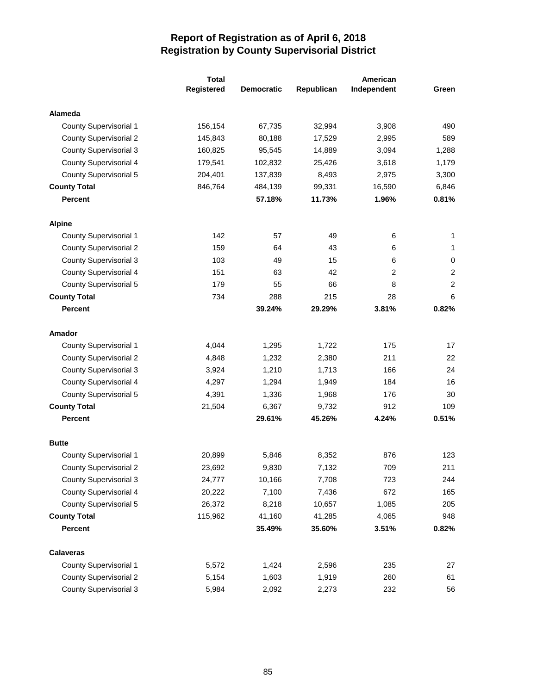|                               | <b>Total</b> |                   |            | American    |                |
|-------------------------------|--------------|-------------------|------------|-------------|----------------|
|                               | Registered   | <b>Democratic</b> | Republican | Independent | Green          |
| <b>Alameda</b>                |              |                   |            |             |                |
| County Supervisorial 1        | 156,154      | 67,735            | 32,994     | 3,908       | 490            |
| <b>County Supervisorial 2</b> | 145,843      | 80,188            | 17,529     | 2,995       | 589            |
| <b>County Supervisorial 3</b> | 160,825      | 95,545            | 14,889     | 3,094       | 1,288          |
| County Supervisorial 4        | 179,541      | 102,832           | 25,426     | 3,618       | 1,179          |
| County Supervisorial 5        | 204,401      | 137,839           | 8,493      | 2,975       | 3,300          |
| <b>County Total</b>           | 846,764      | 484,139           | 99,331     | 16,590      | 6,846          |
| <b>Percent</b>                |              | 57.18%            | 11.73%     | 1.96%       | 0.81%          |
| <b>Alpine</b>                 |              |                   |            |             |                |
| County Supervisorial 1        | 142          | 57                | 49         | 6           | 1              |
| <b>County Supervisorial 2</b> | 159          | 64                | 43         | 6           | 1              |
| <b>County Supervisorial 3</b> | 103          | 49                | 15         | 6           | 0              |
| County Supervisorial 4        | 151          | 63                | 42         | 2           | $\overline{2}$ |
| <b>County Supervisorial 5</b> | 179          | 55                | 66         | 8           | $\overline{2}$ |
| <b>County Total</b>           | 734          | 288               | 215        | 28          | 6              |
| Percent                       |              | 39.24%            | 29.29%     | 3.81%       | 0.82%          |
| <b>Amador</b>                 |              |                   |            |             |                |
| <b>County Supervisorial 1</b> | 4,044        | 1,295             | 1,722      | 175         | 17             |
| <b>County Supervisorial 2</b> | 4,848        | 1,232             | 2,380      | 211         | 22             |
| <b>County Supervisorial 3</b> | 3,924        | 1,210             | 1,713      | 166         | 24             |
| County Supervisorial 4        | 4,297        | 1,294             | 1,949      | 184         | 16             |
| County Supervisorial 5        | 4,391        | 1,336             | 1,968      | 176         | 30             |
| <b>County Total</b>           | 21,504       | 6,367             | 9,732      | 912         | 109            |
| <b>Percent</b>                |              | 29.61%            | 45.26%     | 4.24%       | 0.51%          |
| <b>Butte</b>                  |              |                   |            |             |                |
| <b>County Supervisorial 1</b> | 20,899       | 5,846             | 8,352      | 876         | 123            |
| <b>County Supervisorial 2</b> | 23,692       | 9,830             | 7,132      | 709         | 211            |
| <b>County Supervisorial 3</b> | 24,777       | 10,166            | 7,708      | 723         | 244            |
| County Supervisorial 4        | 20,222       | 7,100             | 7,436      | 672         | 165            |
| County Supervisorial 5        | 26,372       | 8,218             | 10,657     | 1,085       | 205            |
| <b>County Total</b>           | 115,962      | 41,160            | 41,285     | 4,065       | 948            |
| <b>Percent</b>                |              | 35.49%            | 35.60%     | 3.51%       | 0.82%          |
| <b>Calaveras</b>              |              |                   |            |             |                |
| County Supervisorial 1        | 5,572        | 1,424             | 2,596      | 235         | 27             |
| <b>County Supervisorial 2</b> | 5,154        | 1,603             | 1,919      | 260         | 61             |
| County Supervisorial 3        | 5,984        | 2,092             | 2,273      | 232         | 56             |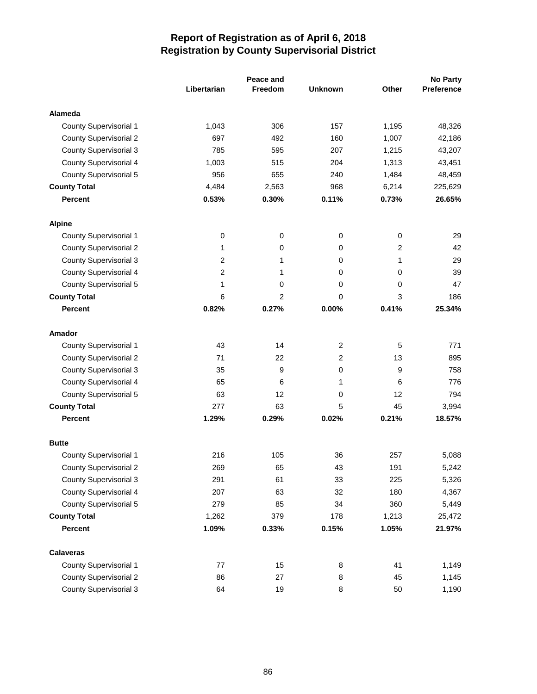|                               |                | Peace and      |                |                | <b>No Party</b> |  |
|-------------------------------|----------------|----------------|----------------|----------------|-----------------|--|
|                               | Libertarian    | <b>Freedom</b> | <b>Unknown</b> | Other          | Preference      |  |
| <b>Alameda</b>                |                |                |                |                |                 |  |
| <b>County Supervisorial 1</b> | 1,043          | 306            | 157            | 1,195          | 48,326          |  |
| <b>County Supervisorial 2</b> | 697            | 492            | 160            | 1,007          | 42,186          |  |
| <b>County Supervisorial 3</b> | 785            | 595            | 207            | 1,215          | 43,207          |  |
| <b>County Supervisorial 4</b> | 1,003          | 515            | 204            | 1,313          | 43,451          |  |
| <b>County Supervisorial 5</b> | 956            | 655            | 240            | 1,484          | 48,459          |  |
| <b>County Total</b>           | 4,484          | 2,563          | 968            | 6,214          | 225,629         |  |
| <b>Percent</b>                | 0.53%          | 0.30%          | 0.11%          | 0.73%          | 26.65%          |  |
| <b>Alpine</b>                 |                |                |                |                |                 |  |
| County Supervisorial 1        | 0              | 0              | 0              | 0              | 29              |  |
| <b>County Supervisorial 2</b> | 1              | 0              | 0              | $\overline{2}$ | 42              |  |
| <b>County Supervisorial 3</b> | 2              | 1              | 0              | 1              | 29              |  |
| <b>County Supervisorial 4</b> | $\overline{c}$ | 1              | 0              | 0              | 39              |  |
| <b>County Supervisorial 5</b> | 1              | 0              | 0              | 0              | 47              |  |
| <b>County Total</b>           | 6              | 2              | 0              | 3              | 186             |  |
| <b>Percent</b>                | 0.82%          | 0.27%          | 0.00%          | 0.41%          | 25.34%          |  |
| Amador                        |                |                |                |                |                 |  |
| <b>County Supervisorial 1</b> | 43             | 14             | 2              | 5              | 771             |  |
| <b>County Supervisorial 2</b> | 71             | 22             | 2              | 13             | 895             |  |
| <b>County Supervisorial 3</b> | 35             | 9              | 0              | 9              | 758             |  |
| <b>County Supervisorial 4</b> | 65             | 6              | 1              | 6              | 776             |  |
| <b>County Supervisorial 5</b> | 63             | 12             | 0              | 12             | 794             |  |
| <b>County Total</b>           | 277            | 63             | 5              | 45             | 3,994           |  |
| <b>Percent</b>                | 1.29%          | 0.29%          | 0.02%          | 0.21%          | 18.57%          |  |
| <b>Butte</b>                  |                |                |                |                |                 |  |
| <b>County Supervisorial 1</b> | 216            | 105            | 36             | 257            | 5,088           |  |
| County Supervisorial 2        | 269            | 65             | 43             | 191            | 5,242           |  |
| <b>County Supervisorial 3</b> | 291            | 61             | 33             | 225            | 5,326           |  |
| <b>County Supervisorial 4</b> | 207            | 63             | 32             | 180            | 4,367           |  |
| <b>County Supervisorial 5</b> | 279            | 85             | 34             | 360            | 5,449           |  |
| <b>County Total</b>           | 1,262          | 379            | 178            | 1,213          | 25,472          |  |
| Percent                       | 1.09%          | 0.33%          | 0.15%          | 1.05%          | 21.97%          |  |
| <b>Calaveras</b>              |                |                |                |                |                 |  |
| County Supervisorial 1        | 77             | 15             | 8              | 41             | 1,149           |  |
| <b>County Supervisorial 2</b> | 86             | 27             | 8              | 45             | 1,145           |  |
| <b>County Supervisorial 3</b> | 64             | 19             | 8              | 50             | 1,190           |  |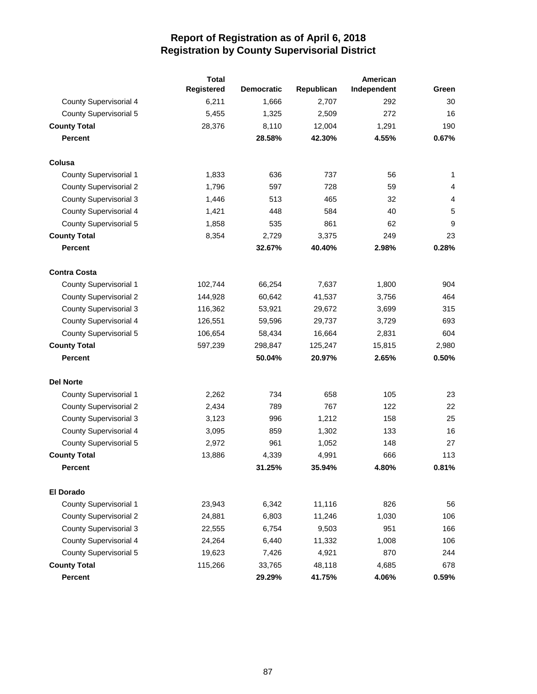|                               | <b>Total</b> | American          |            |             |                |  |
|-------------------------------|--------------|-------------------|------------|-------------|----------------|--|
|                               | Registered   | <b>Democratic</b> | Republican | Independent | Green          |  |
| <b>County Supervisorial 4</b> | 6,211        | 1,666             | 2,707      | 292         | 30             |  |
| <b>County Supervisorial 5</b> | 5,455        | 1,325             | 2,509      | 272         | 16             |  |
| <b>County Total</b>           | 28,376       | 8,110             | 12,004     | 1,291       | 190            |  |
| <b>Percent</b>                |              | 28.58%            | 42.30%     | 4.55%       | 0.67%          |  |
| Colusa                        |              |                   |            |             |                |  |
| <b>County Supervisorial 1</b> | 1,833        | 636               | 737        | 56          | 1              |  |
| <b>County Supervisorial 2</b> | 1,796        | 597               | 728        | 59          | 4              |  |
| <b>County Supervisorial 3</b> | 1,446        | 513               | 465        | 32          | $\overline{4}$ |  |
| County Supervisorial 4        | 1,421        | 448               | 584        | 40          | 5              |  |
| <b>County Supervisorial 5</b> | 1,858        | 535               | 861        | 62          | 9              |  |
| <b>County Total</b>           | 8,354        | 2,729             | 3,375      | 249         | 23             |  |
| <b>Percent</b>                |              | 32.67%            | 40.40%     | 2.98%       | 0.28%          |  |
| <b>Contra Costa</b>           |              |                   |            |             |                |  |
| County Supervisorial 1        | 102,744      | 66,254            | 7,637      | 1,800       | 904            |  |
| <b>County Supervisorial 2</b> | 144,928      | 60,642            | 41,537     | 3,756       | 464            |  |
| <b>County Supervisorial 3</b> | 116,362      | 53,921            | 29,672     | 3,699       | 315            |  |
| <b>County Supervisorial 4</b> | 126,551      | 59,596            | 29,737     | 3,729       | 693            |  |
| <b>County Supervisorial 5</b> | 106,654      | 58,434            | 16,664     | 2,831       | 604            |  |
| <b>County Total</b>           | 597,239      | 298,847           | 125,247    | 15,815      | 2,980          |  |
| <b>Percent</b>                |              | 50.04%            | 20.97%     | 2.65%       | 0.50%          |  |
| <b>Del Norte</b>              |              |                   |            |             |                |  |
| <b>County Supervisorial 1</b> | 2,262        | 734               | 658        | 105         | 23             |  |
| <b>County Supervisorial 2</b> | 2,434        | 789               | 767        | 122         | 22             |  |
| <b>County Supervisorial 3</b> | 3,123        | 996               | 1,212      | 158         | 25             |  |
| County Supervisorial 4        | 3,095        | 859               | 1,302      | 133         | 16             |  |
| <b>County Supervisorial 5</b> | 2,972        | 961               | 1,052      | 148         | 27             |  |
| <b>County Total</b>           | 13,886       | 4,339             | 4,991      | 666         | 113            |  |
| <b>Percent</b>                |              | 31.25%            | 35.94%     | 4.80%       | 0.81%          |  |
| <b>El Dorado</b>              |              |                   |            |             |                |  |
| County Supervisorial 1        | 23,943       | 6,342             | 11,116     | 826         | 56             |  |
| <b>County Supervisorial 2</b> | 24,881       | 6,803             | 11,246     | 1,030       | 106            |  |
| <b>County Supervisorial 3</b> | 22,555       | 6,754             | 9,503      | 951         | 166            |  |
| County Supervisorial 4        | 24,264       | 6,440             | 11,332     | 1,008       | 106            |  |
| County Supervisorial 5        | 19,623       | 7,426             | 4,921      | 870         | 244            |  |
| <b>County Total</b>           | 115,266      | 33,765            | 48,118     | 4,685       | 678            |  |
| <b>Percent</b>                |              | 29.29%            | 41.75%     | 4.06%       | 0.59%          |  |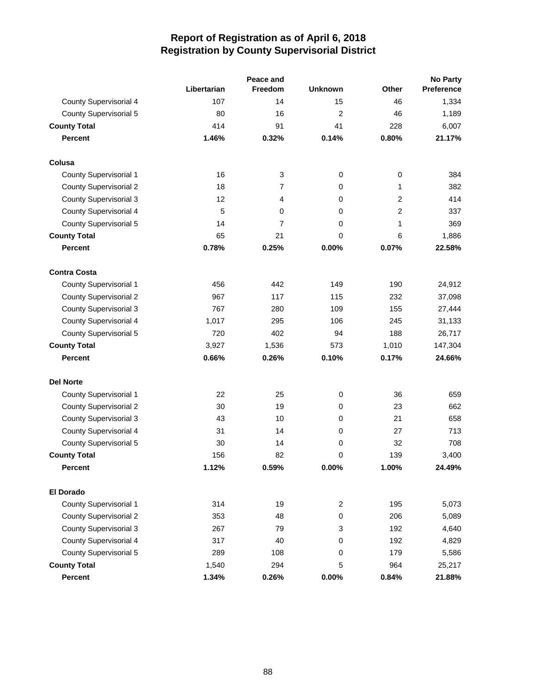|                               |             | Peace and |                |                | <b>No Party</b>   |  |  |
|-------------------------------|-------------|-----------|----------------|----------------|-------------------|--|--|
|                               | Libertarian | Freedom   | <b>Unknown</b> | Other          | <b>Preference</b> |  |  |
| County Supervisorial 4        | 107         | 14        | 15             | 46             | 1,334             |  |  |
| <b>County Supervisorial 5</b> | 80          | 16        | $\overline{2}$ | 46             | 1,189             |  |  |
| <b>County Total</b>           | 414         | 91        | 41             | 228            | 6,007             |  |  |
| <b>Percent</b>                | 1.46%       | 0.32%     | 0.14%          | 0.80%          | 21.17%            |  |  |
| Colusa                        |             |           |                |                |                   |  |  |
| County Supervisorial 1        | 16          | 3         | $\mathbf 0$    | $\pmb{0}$      | 384               |  |  |
| <b>County Supervisorial 2</b> | 18          | 7         | 0              | 1              | 382               |  |  |
| <b>County Supervisorial 3</b> | 12          | 4         | 0              | $\overline{2}$ | 414               |  |  |
| County Supervisorial 4        | 5           | 0         | 0              | 2              | 337               |  |  |
| <b>County Supervisorial 5</b> | 14          | 7         | 0              | 1              | 369               |  |  |
| <b>County Total</b>           | 65          | 21        | 0              | 6              | 1,886             |  |  |
| <b>Percent</b>                | 0.78%       | 0.25%     | 0.00%          | 0.07%          | 22.58%            |  |  |
| <b>Contra Costa</b>           |             |           |                |                |                   |  |  |
| <b>County Supervisorial 1</b> | 456         | 442       | 149            | 190            | 24,912            |  |  |
| <b>County Supervisorial 2</b> | 967         | 117       | 115            | 232            | 37,098            |  |  |
| <b>County Supervisorial 3</b> | 767         | 280       | 109            | 155            | 27,444            |  |  |
| County Supervisorial 4        | 1,017       | 295       | 106            | 245            | 31,133            |  |  |
| County Supervisorial 5        | 720         | 402       | 94             | 188            | 26,717            |  |  |
| <b>County Total</b>           | 3,927       | 1,536     | 573            | 1,010          | 147,304           |  |  |
| <b>Percent</b>                | 0.66%       | 0.26%     | 0.10%          | 0.17%          | 24.66%            |  |  |
| <b>Del Norte</b>              |             |           |                |                |                   |  |  |
| <b>County Supervisorial 1</b> | 22          | 25        | $\mathbf 0$    | 36             | 659               |  |  |
| <b>County Supervisorial 2</b> | 30          | 19        | 0              | 23             | 662               |  |  |
| <b>County Supervisorial 3</b> | 43          | 10        | 0              | 21             | 658               |  |  |
| County Supervisorial 4        | 31          | 14        | 0              | 27             | 713               |  |  |
| County Supervisorial 5        | 30          | 14        | 0              | 32             | 708               |  |  |
| <b>County Total</b>           | 156         | 82        | 0              | 139            | 3,400             |  |  |
| <b>Percent</b>                | 1.12%       | 0.59%     | 0.00%          | 1.00%          | 24.49%            |  |  |
| <b>El Dorado</b>              |             |           |                |                |                   |  |  |
| County Supervisorial 1        | 314         | 19        | $\overline{c}$ | 195            | 5,073             |  |  |
| <b>County Supervisorial 2</b> | 353         | 48        | 0              | 206            | 5,089             |  |  |
| <b>County Supervisorial 3</b> | 267         | 79        | 3              | 192            | 4,640             |  |  |
| County Supervisorial 4        | 317         | 40        | 0              | 192            | 4,829             |  |  |
| <b>County Supervisorial 5</b> | 289         | 108       | 0              | 179            | 5,586             |  |  |
| <b>County Total</b>           | 1,540       | 294       | 5              | 964            | 25,217            |  |  |
| <b>Percent</b>                | 1.34%       | 0.26%     | 0.00%          | 0.84%          | 21.88%            |  |  |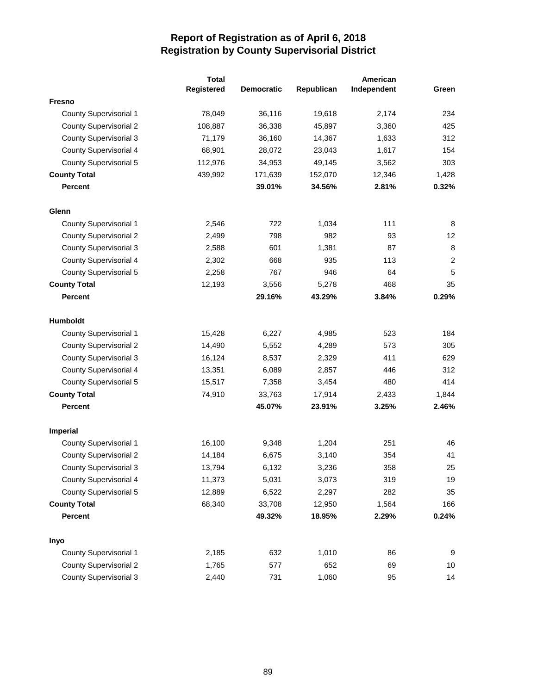|                               | <b>Total</b> |                   |            | American    |                |  |
|-------------------------------|--------------|-------------------|------------|-------------|----------------|--|
|                               | Registered   | <b>Democratic</b> | Republican | Independent | Green          |  |
| <b>Fresno</b>                 |              |                   |            |             |                |  |
| <b>County Supervisorial 1</b> | 78,049       | 36,116            | 19,618     | 2,174       | 234            |  |
| <b>County Supervisorial 2</b> | 108,887      | 36,338            | 45,897     | 3,360       | 425            |  |
| <b>County Supervisorial 3</b> | 71,179       | 36,160            | 14,367     | 1,633       | 312            |  |
| <b>County Supervisorial 4</b> | 68,901       | 28,072            | 23,043     | 1,617       | 154            |  |
| <b>County Supervisorial 5</b> | 112,976      | 34,953            | 49,145     | 3,562       | 303            |  |
| <b>County Total</b>           | 439,992      | 171,639           | 152,070    | 12,346      | 1,428          |  |
| <b>Percent</b>                |              | 39.01%            | 34.56%     | 2.81%       | 0.32%          |  |
| Glenn                         |              |                   |            |             |                |  |
| <b>County Supervisorial 1</b> | 2,546        | 722               | 1,034      | 111         | 8              |  |
| <b>County Supervisorial 2</b> | 2,499        | 798               | 982        | 93          | 12             |  |
| <b>County Supervisorial 3</b> | 2,588        | 601               | 1,381      | 87          | 8              |  |
| <b>County Supervisorial 4</b> | 2,302        | 668               | 935        | 113         | $\overline{c}$ |  |
| <b>County Supervisorial 5</b> | 2,258        | 767               | 946        | 64          | 5              |  |
| <b>County Total</b>           | 12,193       | 3,556             | 5,278      | 468         | 35             |  |
| <b>Percent</b>                |              | 29.16%            | 43.29%     | 3.84%       | 0.29%          |  |
| Humboldt                      |              |                   |            |             |                |  |
| <b>County Supervisorial 1</b> | 15,428       | 6,227             | 4,985      | 523         | 184            |  |
| <b>County Supervisorial 2</b> | 14,490       | 5,552             | 4,289      | 573         | 305            |  |
| <b>County Supervisorial 3</b> | 16,124       | 8,537             | 2,329      | 411         | 629            |  |
| <b>County Supervisorial 4</b> | 13,351       | 6,089             | 2,857      | 446         | 312            |  |
| <b>County Supervisorial 5</b> | 15,517       | 7,358             | 3,454      | 480         | 414            |  |
| <b>County Total</b>           | 74,910       | 33,763            | 17,914     | 2,433       | 1,844          |  |
| <b>Percent</b>                |              | 45.07%            | 23.91%     | 3.25%       | 2.46%          |  |
| <b>Imperial</b>               |              |                   |            |             |                |  |
| <b>County Supervisorial 1</b> | 16,100       | 9,348             | 1,204      | 251         | 46             |  |
| <b>County Supervisorial 2</b> | 14,184       | 6,675             | 3,140      | 354         | 41             |  |
| <b>County Supervisorial 3</b> | 13,794       | 6,132             | 3,236      | 358         | 25             |  |
| <b>County Supervisorial 4</b> | 11,373       | 5,031             | 3,073      | 319         | 19             |  |
| <b>County Supervisorial 5</b> | 12,889       | 6,522             | 2,297      | 282         | 35             |  |
| <b>County Total</b>           | 68,340       | 33,708            | 12,950     | 1,564       | 166            |  |
| <b>Percent</b>                |              | 49.32%            | 18.95%     | 2.29%       | 0.24%          |  |
| Inyo                          |              |                   |            |             |                |  |
| <b>County Supervisorial 1</b> | 2,185        | 632               | 1,010      | 86          | 9              |  |
| <b>County Supervisorial 2</b> | 1,765        | 577               | 652        | 69          | 10             |  |
| <b>County Supervisorial 3</b> | 2,440        | 731               | 1,060      | 95          | 14             |  |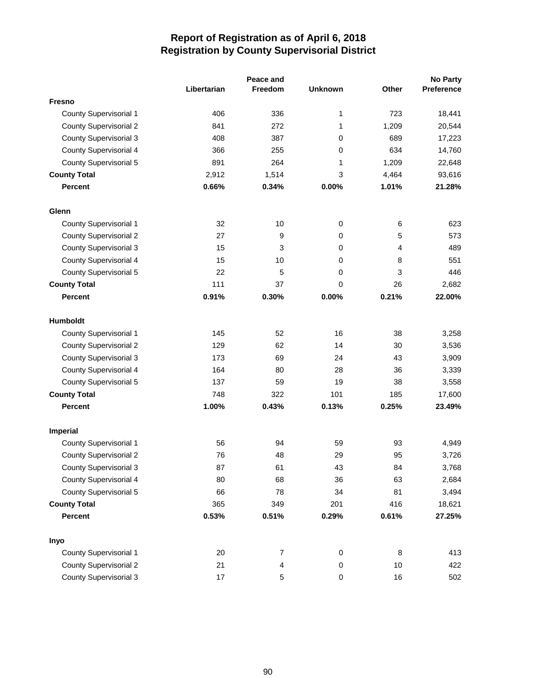|                               |             | Peace and      |                |                | <b>No Party</b> |
|-------------------------------|-------------|----------------|----------------|----------------|-----------------|
|                               | Libertarian | <b>Freedom</b> | <b>Unknown</b> | Other          | Preference      |
| <b>Fresno</b>                 |             |                |                |                |                 |
| County Supervisorial 1        | 406         | 336            | 1              | 723            | 18,441          |
| <b>County Supervisorial 2</b> | 841         | 272            | 1              | 1,209          | 20,544          |
| <b>County Supervisorial 3</b> | 408         | 387            | 0              | 689            | 17,223          |
| <b>County Supervisorial 4</b> | 366         | 255            | 0              | 634            | 14,760          |
| <b>County Supervisorial 5</b> | 891         | 264            | 1              | 1,209          | 22,648          |
| <b>County Total</b>           | 2,912       | 1,514          | 3              | 4,464          | 93,616          |
| <b>Percent</b>                | 0.66%       | 0.34%          | 0.00%          | 1.01%          | 21.28%          |
| Glenn                         |             |                |                |                |                 |
| County Supervisorial 1        | 32          | 10             | 0              | 6              | 623             |
| <b>County Supervisorial 2</b> | 27          | 9              | 0              | 5              | 573             |
| <b>County Supervisorial 3</b> | 15          | 3              | 0              | $\overline{4}$ | 489             |
| <b>County Supervisorial 4</b> | 15          | 10             | 0              | 8              | 551             |
| <b>County Supervisorial 5</b> | 22          | 5              | 0              | 3              | 446             |
| <b>County Total</b>           | 111         | 37             | 0              | 26             | 2,682           |
| <b>Percent</b>                | 0.91%       | 0.30%          | 0.00%          | 0.21%          | 22.00%          |
| Humboldt                      |             |                |                |                |                 |
| County Supervisorial 1        | 145         | 52             | 16             | 38             | 3,258           |
| <b>County Supervisorial 2</b> | 129         | 62             | 14             | 30             | 3,536           |
| <b>County Supervisorial 3</b> | 173         | 69             | 24             | 43             | 3,909           |
| <b>County Supervisorial 4</b> | 164         | 80             | 28             | 36             | 3,339           |
| <b>County Supervisorial 5</b> | 137         | 59             | 19             | 38             | 3,558           |
| <b>County Total</b>           | 748         | 322            | 101            | 185            | 17,600          |
| <b>Percent</b>                | 1.00%       | 0.43%          | 0.13%          | 0.25%          | 23.49%          |
| <b>Imperial</b>               |             |                |                |                |                 |
| <b>County Supervisorial 1</b> | 56          | 94             | 59             | 93             | 4,949           |
| <b>County Supervisorial 2</b> | 76          | 48             | 29             | 95             | 3,726           |
| <b>County Supervisorial 3</b> | 87          | 61             | 43             | 84             | 3,768           |
| <b>County Supervisorial 4</b> | 80          | 68             | 36             | 63             | 2,684           |
| <b>County Supervisorial 5</b> | 66          | 78             | 34             | 81             | 3,494           |
| <b>County Total</b>           | 365         | 349            | 201            | 416            | 18,621          |
| <b>Percent</b>                | 0.53%       | 0.51%          | 0.29%          | 0.61%          | 27.25%          |
| Inyo                          |             |                |                |                |                 |
| County Supervisorial 1        | 20          | $\overline{7}$ | 0              | $\,8\,$        | 413             |
| <b>County Supervisorial 2</b> | 21          | 4              | 0              | 10             | 422             |
| <b>County Supervisorial 3</b> | 17          | 5              | $\pmb{0}$      | 16             | 502             |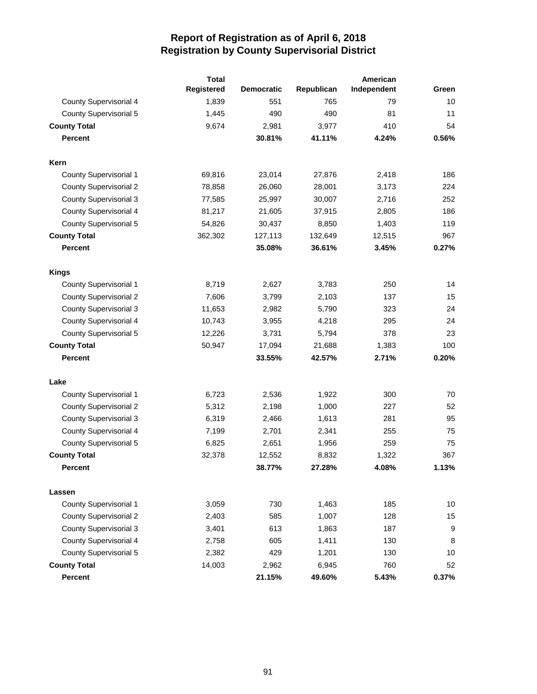|                               | <b>Total</b> |                   |            | American    |       |
|-------------------------------|--------------|-------------------|------------|-------------|-------|
|                               | Registered   | <b>Democratic</b> | Republican | Independent | Green |
| County Supervisorial 4        | 1,839        | 551               | 765        | 79          | 10    |
| <b>County Supervisorial 5</b> | 1,445        | 490               | 490        | 81          | 11    |
| <b>County Total</b>           | 9,674        | 2,981             | 3,977      | 410         | 54    |
| <b>Percent</b>                |              | 30.81%            | 41.11%     | 4.24%       | 0.56% |
| Kern                          |              |                   |            |             |       |
| County Supervisorial 1        | 69,816       | 23,014            | 27,876     | 2,418       | 186   |
| <b>County Supervisorial 2</b> | 78,858       | 26,060            | 28,001     | 3,173       | 224   |
| <b>County Supervisorial 3</b> | 77,585       | 25,997            | 30,007     | 2,716       | 252   |
| County Supervisorial 4        | 81,217       | 21,605            | 37,915     | 2,805       | 186   |
| <b>County Supervisorial 5</b> | 54,826       | 30,437            | 8,850      | 1,403       | 119   |
| <b>County Total</b>           | 362,302      | 127,113           | 132,649    | 12,515      | 967   |
| <b>Percent</b>                |              | 35.08%            | 36.61%     | 3.45%       | 0.27% |
| <b>Kings</b>                  |              |                   |            |             |       |
| <b>County Supervisorial 1</b> | 8,719        | 2,627             | 3,783      | 250         | 14    |
| <b>County Supervisorial 2</b> | 7,606        | 3,799             | 2,103      | 137         | 15    |
| <b>County Supervisorial 3</b> | 11,653       | 2,982             | 5,790      | 323         | 24    |
| <b>County Supervisorial 4</b> | 10,743       | 3,955             | 4,218      | 295         | 24    |
| <b>County Supervisorial 5</b> | 12,226       | 3,731             | 5,794      | 378         | 23    |
| <b>County Total</b>           | 50,947       | 17,094            | 21,688     | 1,383       | 100   |
| <b>Percent</b>                |              | 33.55%            | 42.57%     | 2.71%       | 0.20% |
| Lake                          |              |                   |            |             |       |
| <b>County Supervisorial 1</b> | 6,723        | 2,536             | 1,922      | 300         | 70    |
| <b>County Supervisorial 2</b> | 5,312        | 2,198             | 1,000      | 227         | 52    |
| <b>County Supervisorial 3</b> | 6,319        | 2,466             | 1,613      | 281         | 95    |
| <b>County Supervisorial 4</b> | 7,199        | 2,701             | 2,341      | 255         | 75    |
| <b>County Supervisorial 5</b> | 6,825        | 2,651             | 1,956      | 259         | 75    |
| <b>County Total</b>           | 32,378       | 12,552            | 8,832      | 1,322       | 367   |
| <b>Percent</b>                |              | 38.77%            | 27.28%     | 4.08%       | 1.13% |
| Lassen                        |              |                   |            |             |       |
| <b>County Supervisorial 1</b> | 3,059        | 730               | 1,463      | 185         | 10    |
| <b>County Supervisorial 2</b> | 2,403        | 585               | 1,007      | 128         | 15    |
| <b>County Supervisorial 3</b> | 3,401        | 613               | 1,863      | 187         | 9     |
| <b>County Supervisorial 4</b> | 2,758        | 605               | 1,411      | 130         | 8     |
| <b>County Supervisorial 5</b> | 2,382        | 429               | 1,201      | 130         | 10    |
| <b>County Total</b>           | 14,003       | 2,962             | 6,945      | 760         | 52    |
| <b>Percent</b>                |              | 21.15%            | 49.60%     | 5.43%       | 0.37% |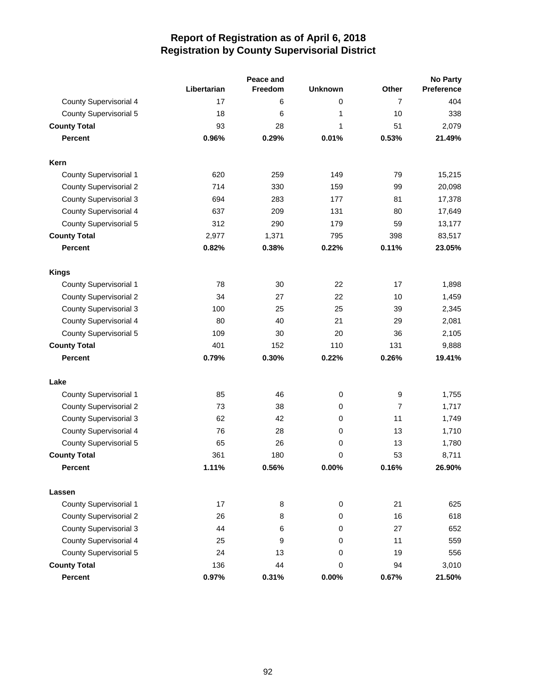|                               |             | Peace and |                | <b>No Party</b> |            |  |
|-------------------------------|-------------|-----------|----------------|-----------------|------------|--|
|                               | Libertarian | Freedom   | <b>Unknown</b> | Other           | Preference |  |
| County Supervisorial 4        | 17          | 6         | 0              | 7               | 404        |  |
| <b>County Supervisorial 5</b> | 18          | 6         | 1              | 10              | 338        |  |
| <b>County Total</b>           | 93          | 28        | 1              | 51              | 2,079      |  |
| <b>Percent</b>                | 0.96%       | 0.29%     | 0.01%          | 0.53%           | 21.49%     |  |
| Kern                          |             |           |                |                 |            |  |
| <b>County Supervisorial 1</b> | 620         | 259       | 149            | 79              | 15,215     |  |
| <b>County Supervisorial 2</b> | 714         | 330       | 159            | 99              | 20,098     |  |
| <b>County Supervisorial 3</b> | 694         | 283       | 177            | 81              | 17,378     |  |
| <b>County Supervisorial 4</b> | 637         | 209       | 131            | 80              | 17,649     |  |
| <b>County Supervisorial 5</b> | 312         | 290       | 179            | 59              | 13,177     |  |
| <b>County Total</b>           | 2,977       | 1,371     | 795            | 398             | 83,517     |  |
| <b>Percent</b>                | 0.82%       | 0.38%     | 0.22%          | 0.11%           | 23.05%     |  |
| <b>Kings</b>                  |             |           |                |                 |            |  |
| <b>County Supervisorial 1</b> | 78          | 30        | 22             | 17              | 1,898      |  |
| <b>County Supervisorial 2</b> | 34          | 27        | 22             | 10              | 1,459      |  |
| <b>County Supervisorial 3</b> | 100         | 25        | 25             | 39              | 2,345      |  |
| <b>County Supervisorial 4</b> | 80          | 40        | 21             | 29              | 2,081      |  |
| <b>County Supervisorial 5</b> | 109         | 30        | 20             | 36              | 2,105      |  |
| <b>County Total</b>           | 401         | 152       | 110            | 131             | 9,888      |  |
| <b>Percent</b>                | 0.79%       | 0.30%     | 0.22%          | 0.26%           | 19.41%     |  |
| Lake                          |             |           |                |                 |            |  |
| <b>County Supervisorial 1</b> | 85          | 46        | $\mathbf 0$    | 9               | 1,755      |  |
| <b>County Supervisorial 2</b> | 73          | 38        | $\mathbf 0$    | $\overline{7}$  | 1,717      |  |
| <b>County Supervisorial 3</b> | 62          | 42        | 0              | 11              | 1,749      |  |
| <b>County Supervisorial 4</b> | 76          | 28        | $\mathbf 0$    | 13              | 1,710      |  |
| <b>County Supervisorial 5</b> | 65          | 26        | 0              | 13              | 1,780      |  |
| <b>County Total</b>           | 361         | 180       | 0              | 53              | 8,711      |  |
| Percent                       | 1.11%       | 0.56%     | 0.00%          | 0.16%           | 26.90%     |  |
| Lassen                        |             |           |                |                 |            |  |
| County Supervisorial 1        | 17          | 8         | $\mathbf 0$    | 21              | 625        |  |
| <b>County Supervisorial 2</b> | 26          | 8         | 0              | 16              | 618        |  |
| <b>County Supervisorial 3</b> | 44          | 6         | 0              | 27              | 652        |  |
| <b>County Supervisorial 4</b> | 25          | 9         | 0              | 11              | 559        |  |
| <b>County Supervisorial 5</b> | 24          | 13        | 0              | 19              | 556        |  |
| <b>County Total</b>           | 136         | 44        | 0              | 94              | 3,010      |  |
| Percent                       | 0.97%       | 0.31%     | 0.00%          | 0.67%           | 21.50%     |  |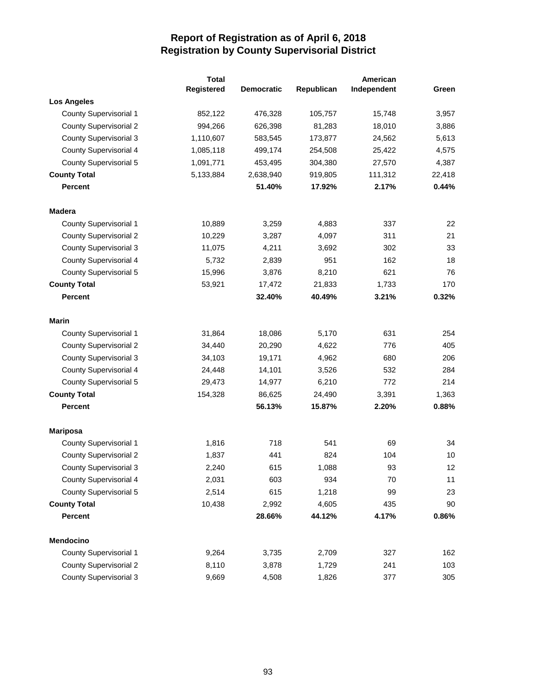|                               | <b>Total</b> |                   |            | American    |        |
|-------------------------------|--------------|-------------------|------------|-------------|--------|
|                               | Registered   | <b>Democratic</b> | Republican | Independent | Green  |
| <b>Los Angeles</b>            |              |                   |            |             |        |
| County Supervisorial 1        | 852,122      | 476,328           | 105,757    | 15,748      | 3,957  |
| <b>County Supervisorial 2</b> | 994,266      | 626,398           | 81,283     | 18,010      | 3,886  |
| <b>County Supervisorial 3</b> | 1,110,607    | 583,545           | 173,877    | 24,562      | 5,613  |
| County Supervisorial 4        | 1,085,118    | 499,174           | 254,508    | 25,422      | 4,575  |
| County Supervisorial 5        | 1,091,771    | 453,495           | 304,380    | 27,570      | 4,387  |
| <b>County Total</b>           | 5,133,884    | 2,638,940         | 919,805    | 111,312     | 22,418 |
| <b>Percent</b>                |              | 51.40%            | 17.92%     | 2.17%       | 0.44%  |
| <b>Madera</b>                 |              |                   |            |             |        |
| <b>County Supervisorial 1</b> | 10,889       | 3,259             | 4,883      | 337         | 22     |
| <b>County Supervisorial 2</b> | 10,229       | 3,287             | 4,097      | 311         | 21     |
| <b>County Supervisorial 3</b> | 11,075       | 4,211             | 3,692      | 302         | 33     |
| County Supervisorial 4        | 5,732        | 2,839             | 951        | 162         | 18     |
| County Supervisorial 5        | 15,996       | 3,876             | 8,210      | 621         | 76     |
| <b>County Total</b>           | 53,921       | 17,472            | 21,833     | 1,733       | 170    |
| Percent                       |              | 32.40%            | 40.49%     | 3.21%       | 0.32%  |
| <b>Marin</b>                  |              |                   |            |             |        |
| <b>County Supervisorial 1</b> | 31,864       | 18,086            | 5,170      | 631         | 254    |
| <b>County Supervisorial 2</b> | 34,440       | 20,290            | 4,622      | 776         | 405    |
| <b>County Supervisorial 3</b> | 34,103       | 19,171            | 4,962      | 680         | 206    |
| <b>County Supervisorial 4</b> | 24,448       | 14,101            | 3,526      | 532         | 284    |
| <b>County Supervisorial 5</b> | 29,473       | 14,977            | 6,210      | 772         | 214    |
| <b>County Total</b>           | 154,328      | 86,625            | 24,490     | 3,391       | 1,363  |
| <b>Percent</b>                |              | 56.13%            | 15.87%     | 2.20%       | 0.88%  |
| <b>Mariposa</b>               |              |                   |            |             |        |
| <b>County Supervisorial 1</b> | 1,816        | 718               | 541        | 69          | 34     |
| <b>County Supervisorial 2</b> | 1,837        | 441               | 824        | 104         | 10     |
| <b>County Supervisorial 3</b> | 2,240        | 615               | 1,088      | 93          | 12     |
| County Supervisorial 4        | 2,031        | 603               | 934        | 70          | 11     |
| <b>County Supervisorial 5</b> | 2,514        | 615               | 1,218      | 99          | 23     |
| <b>County Total</b>           | 10,438       | 2,992             | 4,605      | 435         | 90     |
| Percent                       |              | 28.66%            | 44.12%     | 4.17%       | 0.86%  |
| Mendocino                     |              |                   |            |             |        |
| County Supervisorial 1        | 9,264        | 3,735             | 2,709      | 327         | 162    |
| <b>County Supervisorial 2</b> | 8,110        | 3,878             | 1,729      | 241         | 103    |
| <b>County Supervisorial 3</b> | 9,669        | 4,508             | 1,826      | 377         | 305    |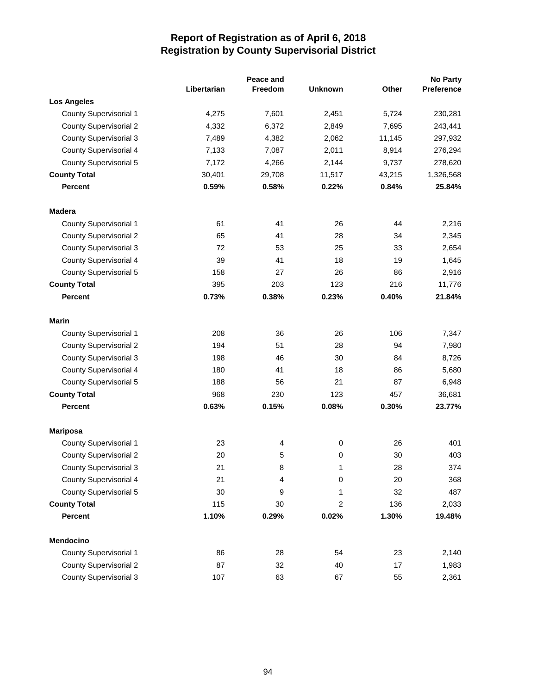|                               |             | Peace and |                |        | <b>No Party</b> |
|-------------------------------|-------------|-----------|----------------|--------|-----------------|
|                               | Libertarian | Freedom   | <b>Unknown</b> | Other  | Preference      |
| <b>Los Angeles</b>            |             |           |                |        |                 |
| County Supervisorial 1        | 4,275       | 7,601     | 2,451          | 5,724  | 230,281         |
| <b>County Supervisorial 2</b> | 4,332       | 6,372     | 2,849          | 7,695  | 243,441         |
| <b>County Supervisorial 3</b> | 7,489       | 4,382     | 2,062          | 11,145 | 297,932         |
| County Supervisorial 4        | 7,133       | 7,087     | 2,011          | 8,914  | 276,294         |
| County Supervisorial 5        | 7,172       | 4,266     | 2,144          | 9,737  | 278,620         |
| <b>County Total</b>           | 30,401      | 29,708    | 11,517         | 43,215 | 1,326,568       |
| <b>Percent</b>                | 0.59%       | 0.58%     | 0.22%          | 0.84%  | 25.84%          |
| <b>Madera</b>                 |             |           |                |        |                 |
| County Supervisorial 1        | 61          | 41        | 26             | 44     | 2,216           |
| <b>County Supervisorial 2</b> | 65          | 41        | 28             | 34     | 2,345           |
| <b>County Supervisorial 3</b> | 72          | 53        | 25             | 33     | 2,654           |
| County Supervisorial 4        | 39          | 41        | 18             | 19     | 1,645           |
| County Supervisorial 5        | 158         | 27        | 26             | 86     | 2,916           |
| <b>County Total</b>           | 395         | 203       | 123            | 216    | 11,776          |
| <b>Percent</b>                | 0.73%       | 0.38%     | 0.23%          | 0.40%  | 21.84%          |
| <b>Marin</b>                  |             |           |                |        |                 |
| County Supervisorial 1        | 208         | 36        | 26             | 106    | 7,347           |
| <b>County Supervisorial 2</b> | 194         | 51        | 28             | 94     | 7,980           |
| <b>County Supervisorial 3</b> | 198         | 46        | 30             | 84     | 8,726           |
| County Supervisorial 4        | 180         | 41        | 18             | 86     | 5,680           |
| County Supervisorial 5        | 188         | 56        | 21             | 87     | 6,948           |
| <b>County Total</b>           | 968         | 230       | 123            | 457    | 36,681          |
| <b>Percent</b>                | 0.63%       | 0.15%     | 0.08%          | 0.30%  | 23.77%          |
| <b>Mariposa</b>               |             |           |                |        |                 |
| County Supervisorial 1        | 23          | 4         | 0              | 26     | 401             |
| <b>County Supervisorial 2</b> | 20          | 5         | 0              | 30     | 403             |
| <b>County Supervisorial 3</b> | 21          | 8         | 1              | 28     | 374             |
| <b>County Supervisorial 4</b> | 21          | 4         | 0              | 20     | 368             |
| County Supervisorial 5        | 30          | 9         | 1              | 32     | 487             |
| <b>County Total</b>           | 115         | 30        | $\overline{c}$ | 136    | 2,033           |
| <b>Percent</b>                | 1.10%       | 0.29%     | 0.02%          | 1.30%  | 19.48%          |
| Mendocino                     |             |           |                |        |                 |
| County Supervisorial 1        | 86          | 28        | 54             | 23     | 2,140           |
| <b>County Supervisorial 2</b> | 87          | 32        | 40             | 17     | 1,983           |
| <b>County Supervisorial 3</b> | 107         | 63        | 67             | 55     | 2,361           |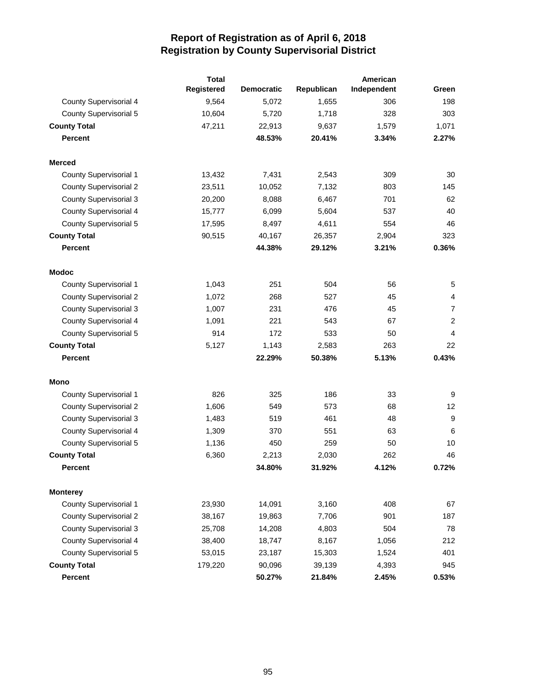|                               | <b>Total</b> |                   |            | American    |                |
|-------------------------------|--------------|-------------------|------------|-------------|----------------|
|                               | Registered   | <b>Democratic</b> | Republican | Independent | Green          |
| <b>County Supervisorial 4</b> | 9,564        | 5,072             | 1,655      | 306         | 198            |
| <b>County Supervisorial 5</b> | 10,604       | 5,720             | 1,718      | 328         | 303            |
| <b>County Total</b>           | 47,211       | 22,913            | 9,637      | 1,579       | 1,071          |
| <b>Percent</b>                |              | 48.53%            | 20.41%     | 3.34%       | 2.27%          |
| <b>Merced</b>                 |              |                   |            |             |                |
| <b>County Supervisorial 1</b> | 13,432       | 7,431             | 2,543      | 309         | 30             |
| <b>County Supervisorial 2</b> | 23,511       | 10,052            | 7,132      | 803         | 145            |
| <b>County Supervisorial 3</b> | 20,200       | 8,088             | 6,467      | 701         | 62             |
| County Supervisorial 4        | 15,777       | 6,099             | 5,604      | 537         | 40             |
| <b>County Supervisorial 5</b> | 17,595       | 8,497             | 4,611      | 554         | 46             |
| <b>County Total</b>           | 90,515       | 40,167            | 26,357     | 2,904       | 323            |
| <b>Percent</b>                |              | 44.38%            | 29.12%     | 3.21%       | 0.36%          |
| <b>Modoc</b>                  |              |                   |            |             |                |
| County Supervisorial 1        | 1,043        | 251               | 504        | 56          | 5              |
| <b>County Supervisorial 2</b> | 1,072        | 268               | 527        | 45          | $\overline{4}$ |
| <b>County Supervisorial 3</b> | 1,007        | 231               | 476        | 45          | 7              |
| <b>County Supervisorial 4</b> | 1,091        | 221               | 543        | 67          | $\overline{2}$ |
| <b>County Supervisorial 5</b> | 914          | 172               | 533        | 50          | 4              |
| <b>County Total</b>           | 5,127        | 1,143             | 2,583      | 263         | 22             |
| <b>Percent</b>                |              | 22.29%            | 50.38%     | 5.13%       | 0.43%          |
| Mono                          |              |                   |            |             |                |
| <b>County Supervisorial 1</b> | 826          | 325               | 186        | 33          | 9              |
| <b>County Supervisorial 2</b> | 1,606        | 549               | 573        | 68          | 12             |
| <b>County Supervisorial 3</b> | 1,483        | 519               | 461        | 48          | 9              |
| County Supervisorial 4        | 1,309        | 370               | 551        | 63          | 6              |
| <b>County Supervisorial 5</b> | 1,136        | 450               | 259        | 50          | 10             |
| <b>County Total</b>           | 6,360        | 2,213             | 2,030      | 262         | 46             |
| Percent                       |              | 34.80%            | 31.92%     | 4.12%       | 0.72%          |
| <b>Monterey</b>               |              |                   |            |             |                |
| County Supervisorial 1        | 23,930       | 14,091            | 3,160      | 408         | 67             |
| <b>County Supervisorial 2</b> | 38,167       | 19,863            | 7,706      | 901         | 187            |
| <b>County Supervisorial 3</b> | 25,708       | 14,208            | 4,803      | 504         | 78             |
| <b>County Supervisorial 4</b> | 38,400       | 18,747            | 8,167      | 1,056       | 212            |
| <b>County Supervisorial 5</b> | 53,015       | 23,187            | 15,303     | 1,524       | 401            |
| <b>County Total</b>           | 179,220      | 90,096            | 39,139     | 4,393       | 945            |
| Percent                       |              | 50.27%            | 21.84%     | 2.45%       | 0.53%          |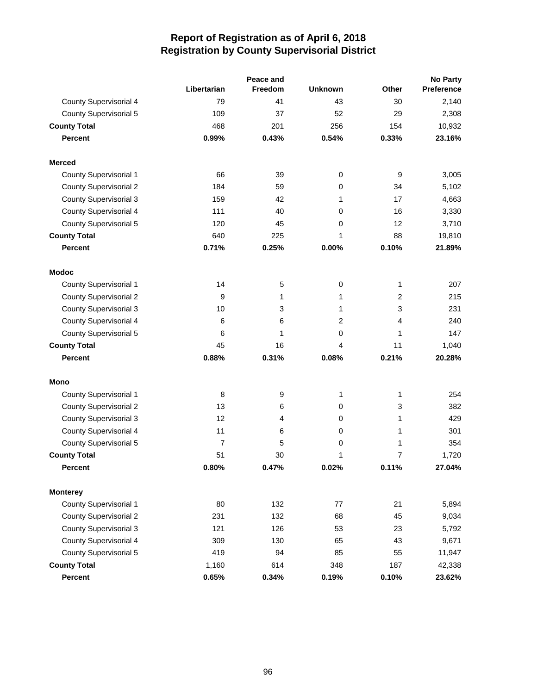|                               |                | Peace and      |                | <b>No Party</b> |            |
|-------------------------------|----------------|----------------|----------------|-----------------|------------|
|                               | Libertarian    | <b>Freedom</b> | <b>Unknown</b> | Other           | Preference |
| County Supervisorial 4        | 79             | 41             | 43             | 30              | 2,140      |
| <b>County Supervisorial 5</b> | 109            | 37             | 52             | 29              | 2,308      |
| <b>County Total</b>           | 468            | 201            | 256            | 154             | 10,932     |
| <b>Percent</b>                | 0.99%          | 0.43%          | 0.54%          | 0.33%           | 23.16%     |
| <b>Merced</b>                 |                |                |                |                 |            |
| <b>County Supervisorial 1</b> | 66             | 39             | 0              | 9               | 3,005      |
| <b>County Supervisorial 2</b> | 184            | 59             | 0              | 34              | 5,102      |
| <b>County Supervisorial 3</b> | 159            | 42             | 1              | 17              | 4,663      |
| <b>County Supervisorial 4</b> | 111            | 40             | 0              | 16              | 3,330      |
| <b>County Supervisorial 5</b> | 120            | 45             | 0              | 12              | 3,710      |
| <b>County Total</b>           | 640            | 225            | 1              | 88              | 19,810     |
| <b>Percent</b>                | 0.71%          | 0.25%          | 0.00%          | 0.10%           | 21.89%     |
| <b>Modoc</b>                  |                |                |                |                 |            |
| <b>County Supervisorial 1</b> | 14             | 5              | 0              | $\mathbf{1}$    | 207        |
| <b>County Supervisorial 2</b> | 9              | 1              | 1              | $\overline{2}$  | 215        |
| <b>County Supervisorial 3</b> | 10             | 3              | 1              | 3               | 231        |
| <b>County Supervisorial 4</b> | 6              | 6              | 2              | 4               | 240        |
| <b>County Supervisorial 5</b> | 6              | 1              | 0              | 1               | 147        |
| <b>County Total</b>           | 45             | 16             | 4              | 11              | 1,040      |
| <b>Percent</b>                | 0.88%          | 0.31%          | 0.08%          | 0.21%           | 20.28%     |
| Mono                          |                |                |                |                 |            |
| <b>County Supervisorial 1</b> | 8              | 9              | 1              | 1               | 254        |
| <b>County Supervisorial 2</b> | 13             | 6              | 0              | 3               | 382        |
| <b>County Supervisorial 3</b> | 12             | 4              | 0              | 1               | 429        |
| <b>County Supervisorial 4</b> | 11             | 6              | 0              | 1               | 301        |
| <b>County Supervisorial 5</b> | $\overline{7}$ | 5              | 0              | 1               | 354        |
| <b>County Total</b>           | 51             | 30             | 1              | 7               | 1,720      |
| <b>Percent</b>                | 0.80%          | 0.47%          | 0.02%          | 0.11%           | 27.04%     |
| <b>Monterey</b>               |                |                |                |                 |            |
| County Supervisorial 1        | 80             | 132            | $77 \,$        | 21              | 5,894      |
| <b>County Supervisorial 2</b> | 231            | 132            | 68             | 45              | 9,034      |
| <b>County Supervisorial 3</b> | 121            | 126            | 53             | 23              | 5,792      |
| County Supervisorial 4        | 309            | 130            | 65             | 43              | 9,671      |
| <b>County Supervisorial 5</b> | 419            | 94             | 85             | 55              | 11,947     |
| <b>County Total</b>           | 1,160          | 614            | 348            | 187             | 42,338     |
| Percent                       | 0.65%          | 0.34%          | 0.19%          | 0.10%           | 23.62%     |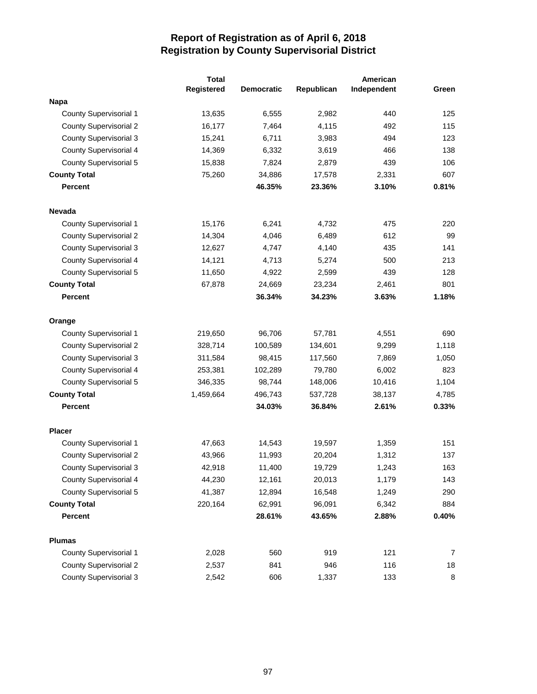|                               | <b>Total</b> |                   |            | American    |       |
|-------------------------------|--------------|-------------------|------------|-------------|-------|
|                               | Registered   | <b>Democratic</b> | Republican | Independent | Green |
| <b>Napa</b>                   |              |                   |            |             |       |
| <b>County Supervisorial 1</b> | 13,635       | 6,555             | 2,982      | 440         | 125   |
| <b>County Supervisorial 2</b> | 16,177       | 7,464             | 4,115      | 492         | 115   |
| <b>County Supervisorial 3</b> | 15,241       | 6,711             | 3,983      | 494         | 123   |
| <b>County Supervisorial 4</b> | 14,369       | 6,332             | 3,619      | 466         | 138   |
| <b>County Supervisorial 5</b> | 15,838       | 7,824             | 2,879      | 439         | 106   |
| <b>County Total</b>           | 75,260       | 34,886            | 17,578     | 2,331       | 607   |
| <b>Percent</b>                |              | 46.35%            | 23.36%     | 3.10%       | 0.81% |
| <b>Nevada</b>                 |              |                   |            |             |       |
| County Supervisorial 1        | 15,176       | 6,241             | 4,732      | 475         | 220   |
| <b>County Supervisorial 2</b> | 14,304       | 4,046             | 6,489      | 612         | 99    |
| <b>County Supervisorial 3</b> | 12,627       | 4,747             | 4,140      | 435         | 141   |
| <b>County Supervisorial 4</b> | 14,121       | 4,713             | 5,274      | 500         | 213   |
| <b>County Supervisorial 5</b> | 11,650       | 4,922             | 2,599      | 439         | 128   |
| <b>County Total</b>           | 67,878       | 24,669            | 23,234     | 2,461       | 801   |
| <b>Percent</b>                |              | 36.34%            | 34.23%     | 3.63%       | 1.18% |
| Orange                        |              |                   |            |             |       |
| <b>County Supervisorial 1</b> | 219,650      | 96,706            | 57,781     | 4,551       | 690   |
| <b>County Supervisorial 2</b> | 328,714      | 100,589           | 134,601    | 9,299       | 1,118 |
| <b>County Supervisorial 3</b> | 311,584      | 98,415            | 117,560    | 7,869       | 1,050 |
| County Supervisorial 4        | 253,381      | 102,289           | 79,780     | 6,002       | 823   |
| <b>County Supervisorial 5</b> | 346,335      | 98,744            | 148,006    | 10,416      | 1,104 |
| <b>County Total</b>           | 1,459,664    | 496,743           | 537,728    | 38,137      | 4,785 |
| <b>Percent</b>                |              | 34.03%            | 36.84%     | 2.61%       | 0.33% |
| <b>Placer</b>                 |              |                   |            |             |       |
| <b>County Supervisorial 1</b> | 47,663       | 14,543            | 19,597     | 1,359       | 151   |
| <b>County Supervisorial 2</b> | 43,966       | 11,993            | 20,204     | 1,312       | 137   |
| <b>County Supervisorial 3</b> | 42,918       | 11,400            | 19,729     | 1,243       | 163   |
| <b>County Supervisorial 4</b> | 44,230       | 12,161            | 20,013     | 1,179       | 143   |
| <b>County Supervisorial 5</b> | 41,387       | 12,894            | 16,548     | 1,249       | 290   |
| <b>County Total</b>           | 220,164      | 62,991            | 96,091     | 6,342       | 884   |
| <b>Percent</b>                |              | 28.61%            | 43.65%     | 2.88%       | 0.40% |
| <b>Plumas</b>                 |              |                   |            |             |       |
| County Supervisorial 1        | 2,028        | 560               | 919        | 121         | 7     |
| <b>County Supervisorial 2</b> | 2,537        | 841               | 946        | 116         | 18    |
| <b>County Supervisorial 3</b> | 2,542        | 606               | 1,337      | 133         | 8     |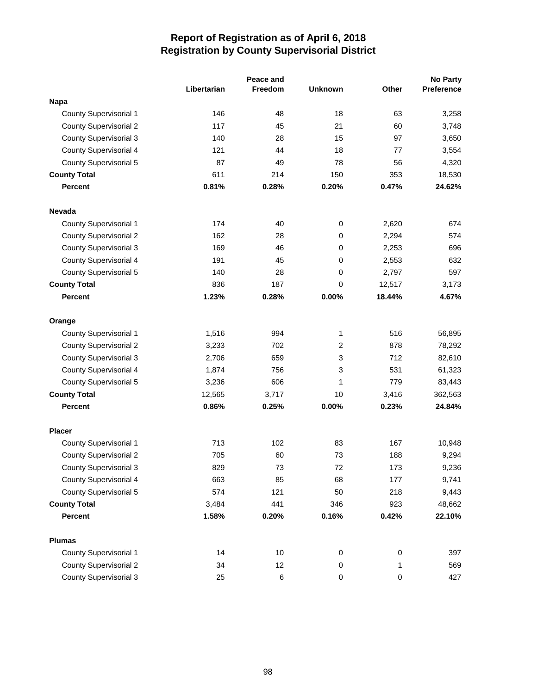|                               |             | Peace and      |                |           | <b>No Party</b> |  |
|-------------------------------|-------------|----------------|----------------|-----------|-----------------|--|
|                               | Libertarian | <b>Freedom</b> | <b>Unknown</b> | Other     | Preference      |  |
| <b>Napa</b>                   |             |                |                |           |                 |  |
| <b>County Supervisorial 1</b> | 146         | 48             | 18             | 63        | 3,258           |  |
| <b>County Supervisorial 2</b> | 117         | 45             | 21             | 60        | 3,748           |  |
| <b>County Supervisorial 3</b> | 140         | 28             | 15             | 97        | 3,650           |  |
| <b>County Supervisorial 4</b> | 121         | 44             | 18             | 77        | 3,554           |  |
| <b>County Supervisorial 5</b> | 87          | 49             | 78             | 56        | 4,320           |  |
| <b>County Total</b>           | 611         | 214            | 150            | 353       | 18,530          |  |
| <b>Percent</b>                | 0.81%       | 0.28%          | 0.20%          | 0.47%     | 24.62%          |  |
| <b>Nevada</b>                 |             |                |                |           |                 |  |
| County Supervisorial 1        | 174         | 40             | 0              | 2,620     | 674             |  |
| <b>County Supervisorial 2</b> | 162         | 28             | 0              | 2,294     | 574             |  |
| <b>County Supervisorial 3</b> | 169         | 46             | 0              | 2,253     | 696             |  |
| <b>County Supervisorial 4</b> | 191         | 45             | 0              | 2,553     | 632             |  |
| <b>County Supervisorial 5</b> | 140         | 28             | 0              | 2,797     | 597             |  |
| <b>County Total</b>           | 836         | 187            | 0              | 12,517    | 3,173           |  |
| <b>Percent</b>                | 1.23%       | 0.28%          | 0.00%          | 18.44%    | 4.67%           |  |
| Orange                        |             |                |                |           |                 |  |
| <b>County Supervisorial 1</b> | 1,516       | 994            | 1              | 516       | 56,895          |  |
| <b>County Supervisorial 2</b> | 3,233       | 702            | 2              | 878       | 78,292          |  |
| <b>County Supervisorial 3</b> | 2,706       | 659            | 3              | 712       | 82,610          |  |
| <b>County Supervisorial 4</b> | 1,874       | 756            | 3              | 531       | 61,323          |  |
| <b>County Supervisorial 5</b> | 3,236       | 606            | 1              | 779       | 83,443          |  |
| <b>County Total</b>           | 12,565      | 3,717          | 10             | 3,416     | 362,563         |  |
| <b>Percent</b>                | 0.86%       | 0.25%          | 0.00%          | 0.23%     | 24.84%          |  |
| <b>Placer</b>                 |             |                |                |           |                 |  |
| <b>County Supervisorial 1</b> | 713         | 102            | 83             | 167       | 10,948          |  |
| <b>County Supervisorial 2</b> | 705         | 60             | 73             | 188       | 9,294           |  |
| <b>County Supervisorial 3</b> | 829         | 73             | 72             | 173       | 9,236           |  |
| County Supervisorial 4        | 663         | 85             | 68             | 177       | 9,741           |  |
| County Supervisorial 5        | 574         | 121            | 50             | 218       | 9,443           |  |
| <b>County Total</b>           | 3,484       | 441            | 346            | 923       | 48,662          |  |
| <b>Percent</b>                | 1.58%       | 0.20%          | 0.16%          | 0.42%     | 22.10%          |  |
| <b>Plumas</b>                 |             |                |                |           |                 |  |
| County Supervisorial 1        | 14          | $10$           | 0              | 0         | 397             |  |
| <b>County Supervisorial 2</b> | 34          | 12             | 0              | 1         | 569             |  |
| <b>County Supervisorial 3</b> | 25          | $\,6\,$        | 0              | $\pmb{0}$ | 427             |  |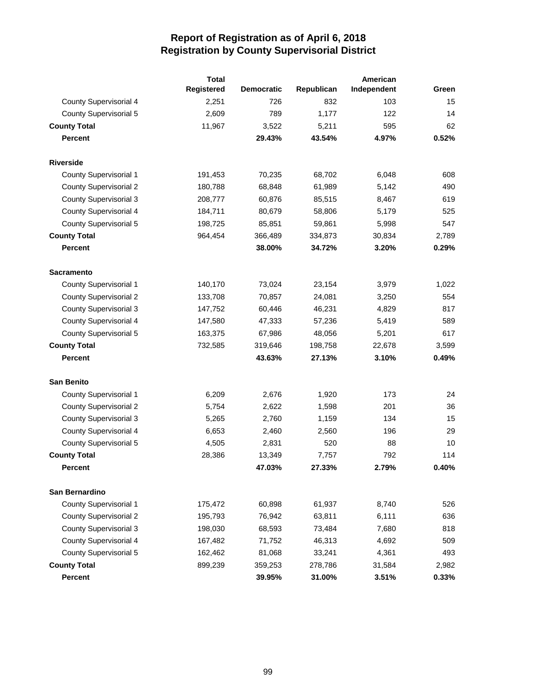|                               | <b>Total</b> |                   |            | American    |       |
|-------------------------------|--------------|-------------------|------------|-------------|-------|
|                               | Registered   | <b>Democratic</b> | Republican | Independent | Green |
| <b>County Supervisorial 4</b> | 2,251        | 726               | 832        | 103         | 15    |
| <b>County Supervisorial 5</b> | 2,609        | 789               | 1,177      | 122         | 14    |
| <b>County Total</b>           | 11,967       | 3,522             | 5,211      | 595         | 62    |
| <b>Percent</b>                |              | 29.43%            | 43.54%     | 4.97%       | 0.52% |
| <b>Riverside</b>              |              |                   |            |             |       |
| <b>County Supervisorial 1</b> | 191,453      | 70,235            | 68,702     | 6,048       | 608   |
| <b>County Supervisorial 2</b> | 180,788      | 68,848            | 61,989     | 5,142       | 490   |
| <b>County Supervisorial 3</b> | 208,777      | 60,876            | 85,515     | 8,467       | 619   |
| County Supervisorial 4        | 184,711      | 80,679            | 58,806     | 5,179       | 525   |
| <b>County Supervisorial 5</b> | 198,725      | 85,851            | 59,861     | 5,998       | 547   |
| <b>County Total</b>           | 964,454      | 366,489           | 334,873    | 30,834      | 2,789 |
| <b>Percent</b>                |              | 38.00%            | 34.72%     | 3.20%       | 0.29% |
| <b>Sacramento</b>             |              |                   |            |             |       |
| County Supervisorial 1        | 140,170      | 73,024            | 23,154     | 3,979       | 1,022 |
| <b>County Supervisorial 2</b> | 133,708      | 70,857            | 24,081     | 3,250       | 554   |
| <b>County Supervisorial 3</b> | 147,752      | 60,446            | 46,231     | 4,829       | 817   |
| County Supervisorial 4        | 147,580      | 47,333            | 57,236     | 5,419       | 589   |
| <b>County Supervisorial 5</b> | 163,375      | 67,986            | 48,056     | 5,201       | 617   |
| <b>County Total</b>           | 732,585      | 319,646           | 198,758    | 22,678      | 3,599 |
| <b>Percent</b>                |              | 43.63%            | 27.13%     | 3.10%       | 0.49% |
| <b>San Benito</b>             |              |                   |            |             |       |
| <b>County Supervisorial 1</b> | 6,209        | 2,676             | 1,920      | 173         | 24    |
| <b>County Supervisorial 2</b> | 5,754        | 2,622             | 1,598      | 201         | 36    |
| <b>County Supervisorial 3</b> | 5,265        | 2,760             | 1,159      | 134         | 15    |
| <b>County Supervisorial 4</b> | 6,653        | 2,460             | 2,560      | 196         | 29    |
| County Supervisorial 5        | 4,505        | 2,831             | 520        | 88          | 10    |
| <b>County Total</b>           | 28,386       | 13,349            | 7,757      | 792         | 114   |
| Percent                       |              | 47.03%            | 27.33%     | 2.79%       | 0.40% |
| San Bernardino                |              |                   |            |             |       |
| <b>County Supervisorial 1</b> | 175,472      | 60,898            | 61,937     | 8,740       | 526   |
| <b>County Supervisorial 2</b> | 195,793      | 76,942            | 63,811     | 6,111       | 636   |
| <b>County Supervisorial 3</b> | 198,030      | 68,593            | 73,484     | 7,680       | 818   |
| <b>County Supervisorial 4</b> | 167,482      | 71,752            | 46,313     | 4,692       | 509   |
| <b>County Supervisorial 5</b> | 162,462      | 81,068            | 33,241     | 4,361       | 493   |
| <b>County Total</b>           | 899,239      | 359,253           | 278,786    | 31,584      | 2,982 |
| <b>Percent</b>                |              | 39.95%            | 31.00%     | 3.51%       | 0.33% |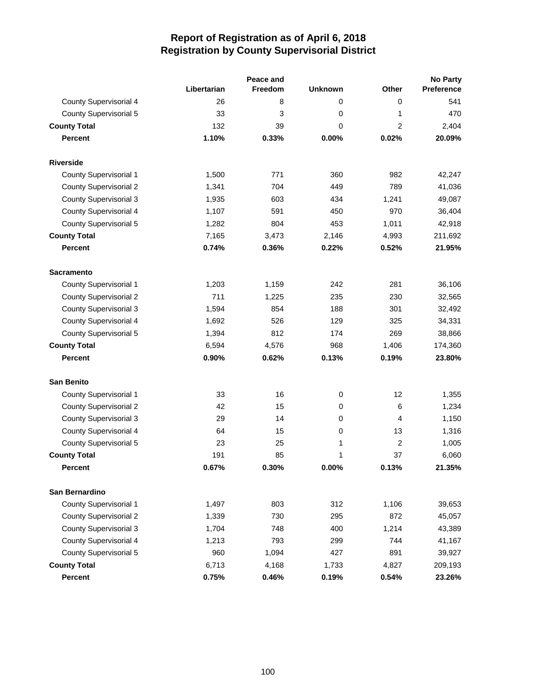|                               |             | Peace and |                |                | <b>No Party</b> |
|-------------------------------|-------------|-----------|----------------|----------------|-----------------|
|                               | Libertarian | Freedom   | <b>Unknown</b> | Other          | Preference      |
| County Supervisorial 4        | 26          | 8         | 0              | 0              | 541             |
| <b>County Supervisorial 5</b> | 33          | 3         | 0              | 1              | 470             |
| <b>County Total</b>           | 132         | 39        | $\Omega$       | $\overline{2}$ | 2,404           |
| <b>Percent</b>                | 1.10%       | 0.33%     | 0.00%          | 0.02%          | 20.09%          |
| <b>Riverside</b>              |             |           |                |                |                 |
| <b>County Supervisorial 1</b> | 1,500       | 771       | 360            | 982            | 42,247          |
| <b>County Supervisorial 2</b> | 1,341       | 704       | 449            | 789            | 41,036          |
| <b>County Supervisorial 3</b> | 1,935       | 603       | 434            | 1,241          | 49,087          |
| <b>County Supervisorial 4</b> | 1,107       | 591       | 450            | 970            | 36,404          |
| County Supervisorial 5        | 1,282       | 804       | 453            | 1,011          | 42,918          |
| <b>County Total</b>           | 7,165       | 3,473     | 2,146          | 4,993          | 211,692         |
| <b>Percent</b>                | 0.74%       | 0.36%     | 0.22%          | 0.52%          | 21.95%          |
| <b>Sacramento</b>             |             |           |                |                |                 |
| <b>County Supervisorial 1</b> | 1,203       | 1,159     | 242            | 281            | 36,106          |
| <b>County Supervisorial 2</b> | 711         | 1,225     | 235            | 230            | 32,565          |
| <b>County Supervisorial 3</b> | 1,594       | 854       | 188            | 301            | 32,492          |
| <b>County Supervisorial 4</b> | 1,692       | 526       | 129            | 325            | 34,331          |
| <b>County Supervisorial 5</b> | 1,394       | 812       | 174            | 269            | 38,866          |
| <b>County Total</b>           | 6,594       | 4,576     | 968            | 1,406          | 174,360         |
| <b>Percent</b>                | 0.90%       | 0.62%     | 0.13%          | 0.19%          | 23.80%          |
| <b>San Benito</b>             |             |           |                |                |                 |
| <b>County Supervisorial 1</b> | 33          | 16        | $\mathbf 0$    | 12             | 1,355           |
| <b>County Supervisorial 2</b> | 42          | 15        | 0              | 6              | 1,234           |
| County Supervisorial 3        | 29          | 14        | 0              | 4              | 1,150           |
| County Supervisorial 4        | 64          | 15        | 0              | 13             | 1,316           |
| County Supervisorial 5        | 23          | 25        | 1              | $\overline{c}$ | 1,005           |
| <b>County Total</b>           | 191         | 85        | 1              | 37             | 6,060           |
| <b>Percent</b>                | 0.67%       | 0.30%     | 0.00%          | 0.13%          | 21.35%          |
| San Bernardino                |             |           |                |                |                 |
| County Supervisorial 1        | 1,497       | 803       | 312            | 1,106          | 39,653          |
| <b>County Supervisorial 2</b> | 1,339       | 730       | 295            | 872            | 45,057          |
| <b>County Supervisorial 3</b> | 1,704       | 748       | 400            | 1,214          | 43,389          |
| County Supervisorial 4        | 1,213       | 793       | 299            | 744            | 41,167          |
| County Supervisorial 5        | 960         | 1,094     | 427            | 891            | 39,927          |
| <b>County Total</b>           | 6,713       | 4,168     | 1,733          | 4,827          | 209,193         |
| <b>Percent</b>                | 0.75%       | 0.46%     | 0.19%          | 0.54%          | 23.26%          |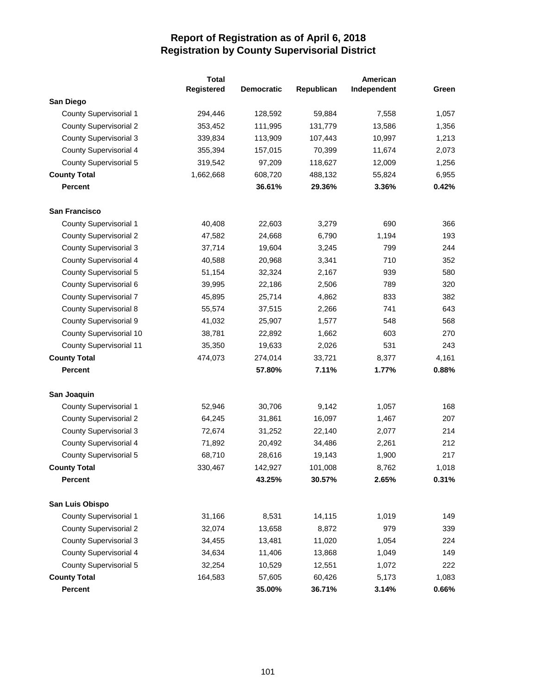|                                | <b>Total</b> |                   |            | American    |       |
|--------------------------------|--------------|-------------------|------------|-------------|-------|
|                                | Registered   | <b>Democratic</b> | Republican | Independent | Green |
| San Diego                      |              |                   |            |             |       |
| <b>County Supervisorial 1</b>  | 294,446      | 128,592           | 59,884     | 7,558       | 1,057 |
| <b>County Supervisorial 2</b>  | 353,452      | 111,995           | 131,779    | 13,586      | 1,356 |
| <b>County Supervisorial 3</b>  | 339,834      | 113,909           | 107,443    | 10,997      | 1,213 |
| <b>County Supervisorial 4</b>  | 355,394      | 157,015           | 70,399     | 11,674      | 2,073 |
| <b>County Supervisorial 5</b>  | 319,542      | 97,209            | 118,627    | 12,009      | 1,256 |
| <b>County Total</b>            | 1,662,668    | 608,720           | 488,132    | 55,824      | 6,955 |
| <b>Percent</b>                 |              | 36.61%            | 29.36%     | 3.36%       | 0.42% |
| <b>San Francisco</b>           |              |                   |            |             |       |
| County Supervisorial 1         | 40,408       | 22,603            | 3,279      | 690         | 366   |
| <b>County Supervisorial 2</b>  | 47,582       | 24,668            | 6,790      | 1,194       | 193   |
| <b>County Supervisorial 3</b>  | 37,714       | 19,604            | 3,245      | 799         | 244   |
| <b>County Supervisorial 4</b>  | 40,588       | 20,968            | 3,341      | 710         | 352   |
| <b>County Supervisorial 5</b>  | 51,154       | 32,324            | 2,167      | 939         | 580   |
| County Supervisorial 6         | 39,995       | 22,186            | 2,506      | 789         | 320   |
| <b>County Supervisorial 7</b>  | 45,895       | 25,714            | 4,862      | 833         | 382   |
| <b>County Supervisorial 8</b>  | 55,574       | 37,515            | 2,266      | 741         | 643   |
| <b>County Supervisorial 9</b>  | 41,032       | 25,907            | 1,577      | 548         | 568   |
| County Supervisorial 10        | 38,781       | 22,892            | 1,662      | 603         | 270   |
| <b>County Supervisorial 11</b> | 35,350       | 19,633            | 2,026      | 531         | 243   |
| <b>County Total</b>            | 474,073      | 274,014           | 33,721     | 8,377       | 4,161 |
| <b>Percent</b>                 |              | 57.80%            | 7.11%      | 1.77%       | 0.88% |
| San Joaquin                    |              |                   |            |             |       |
| <b>County Supervisorial 1</b>  | 52,946       | 30,706            | 9,142      | 1,057       | 168   |
| <b>County Supervisorial 2</b>  | 64,245       | 31,861            | 16,097     | 1,467       | 207   |
| <b>County Supervisorial 3</b>  | 72,674       | 31,252            | 22,140     | 2,077       | 214   |
| County Supervisorial 4         | 71,892       | 20,492            | 34,486     | 2,261       | 212   |
| <b>County Supervisorial 5</b>  | 68,710       | 28,616            | 19,143     | 1,900       | 217   |
| <b>County Total</b>            | 330,467      | 142,927           | 101,008    | 8,762       | 1,018 |
| <b>Percent</b>                 |              | 43.25%            | 30.57%     | 2.65%       | 0.31% |
| San Luis Obispo                |              |                   |            |             |       |
| <b>County Supervisorial 1</b>  | 31,166       | 8,531             | 14,115     | 1,019       | 149   |
| <b>County Supervisorial 2</b>  | 32,074       | 13,658            | 8,872      | 979         | 339   |
| <b>County Supervisorial 3</b>  | 34,455       | 13,481            | 11,020     | 1,054       | 224   |
| <b>County Supervisorial 4</b>  | 34,634       | 11,406            | 13,868     | 1,049       | 149   |
| <b>County Supervisorial 5</b>  | 32,254       | 10,529            | 12,551     | 1,072       | 222   |
| <b>County Total</b>            | 164,583      | 57,605            | 60,426     | 5,173       | 1,083 |
| <b>Percent</b>                 |              | 35.00%            | 36.71%     | 3.14%       | 0.66% |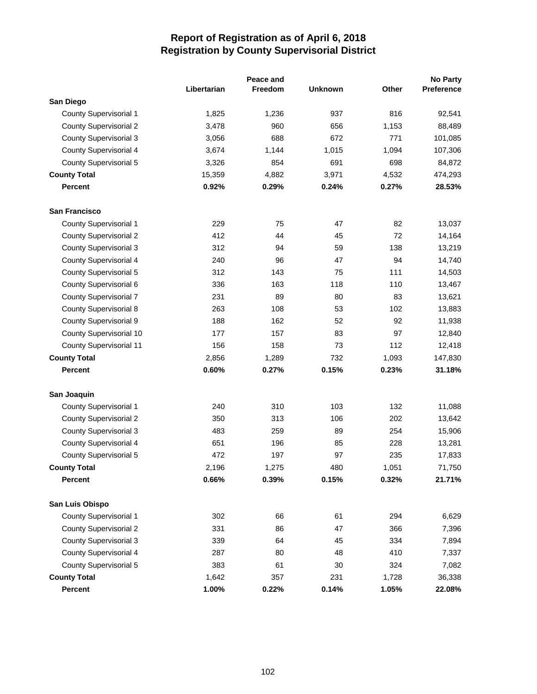|                                |             | Peace and |                |       | <b>No Party</b> |
|--------------------------------|-------------|-----------|----------------|-------|-----------------|
|                                | Libertarian | Freedom   | <b>Unknown</b> | Other | Preference      |
| San Diego                      |             |           |                |       |                 |
| County Supervisorial 1         | 1,825       | 1,236     | 937            | 816   | 92,541          |
| <b>County Supervisorial 2</b>  | 3,478       | 960       | 656            | 1,153 | 88,489          |
| <b>County Supervisorial 3</b>  | 3,056       | 688       | 672            | 771   | 101,085         |
| <b>County Supervisorial 4</b>  | 3,674       | 1,144     | 1,015          | 1,094 | 107,306         |
| <b>County Supervisorial 5</b>  | 3,326       | 854       | 691            | 698   | 84,872          |
| <b>County Total</b>            | 15,359      | 4,882     | 3,971          | 4,532 | 474,293         |
| <b>Percent</b>                 | 0.92%       | 0.29%     | 0.24%          | 0.27% | 28.53%          |
| <b>San Francisco</b>           |             |           |                |       |                 |
| County Supervisorial 1         | 229         | 75        | 47             | 82    | 13,037          |
| <b>County Supervisorial 2</b>  | 412         | 44        | 45             | 72    | 14,164          |
| <b>County Supervisorial 3</b>  | 312         | 94        | 59             | 138   | 13,219          |
| <b>County Supervisorial 4</b>  | 240         | 96        | 47             | 94    | 14,740          |
| <b>County Supervisorial 5</b>  | 312         | 143       | 75             | 111   | 14,503          |
| County Supervisorial 6         | 336         | 163       | 118            | 110   | 13,467          |
| <b>County Supervisorial 7</b>  | 231         | 89        | 80             | 83    | 13,621          |
| <b>County Supervisorial 8</b>  | 263         | 108       | 53             | 102   | 13,883          |
| <b>County Supervisorial 9</b>  | 188         | 162       | 52             | 92    | 11,938          |
| County Supervisorial 10        | 177         | 157       | 83             | 97    | 12,840          |
| <b>County Supervisorial 11</b> | 156         | 158       | 73             | 112   | 12,418          |
| <b>County Total</b>            | 2,856       | 1,289     | 732            | 1,093 | 147,830         |
| <b>Percent</b>                 | 0.60%       | 0.27%     | 0.15%          | 0.23% | 31.18%          |
| San Joaquin                    |             |           |                |       |                 |
| <b>County Supervisorial 1</b>  | 240         | 310       | 103            | 132   | 11,088          |
| <b>County Supervisorial 2</b>  | 350         | 313       | 106            | 202   | 13,642          |
| <b>County Supervisorial 3</b>  | 483         | 259       | 89             | 254   | 15,906          |
| County Supervisorial 4         | 651         | 196       | 85             | 228   | 13,281          |
| <b>County Supervisorial 5</b>  | 472         | 197       | 97             | 235   | 17,833          |
| <b>County Total</b>            | 2,196       | 1,275     | 480            | 1,051 | 71,750          |
| <b>Percent</b>                 | 0.66%       | 0.39%     | 0.15%          | 0.32% | 21.71%          |
| San Luis Obispo                |             |           |                |       |                 |
| <b>County Supervisorial 1</b>  | 302         | 66        | 61             | 294   | 6,629           |
| <b>County Supervisorial 2</b>  | 331         | 86        | 47             | 366   | 7,396           |
| <b>County Supervisorial 3</b>  | 339         | 64        | 45             | 334   | 7,894           |
| <b>County Supervisorial 4</b>  | 287         | 80        | 48             | 410   | 7,337           |
| <b>County Supervisorial 5</b>  | 383         | 61        | 30             | 324   | 7,082           |
| <b>County Total</b>            | 1,642       | 357       | 231            | 1,728 | 36,338          |
| Percent                        | 1.00%       | 0.22%     | 0.14%          | 1.05% | 22.08%          |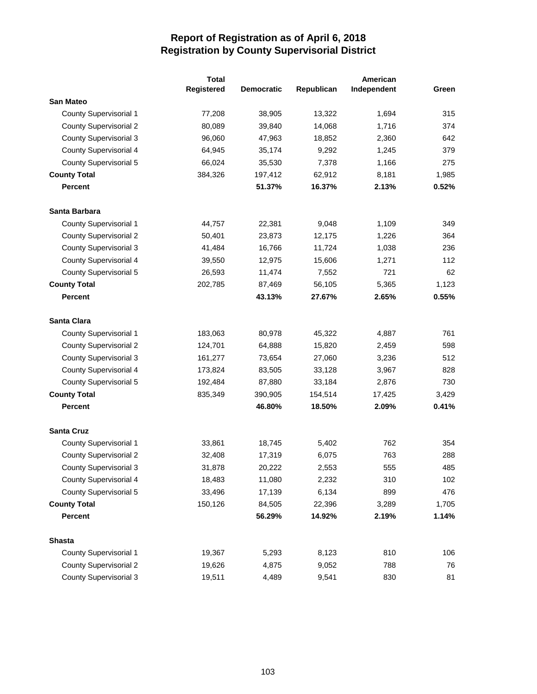|                               | <b>Total</b> |                   | American   |             |       |
|-------------------------------|--------------|-------------------|------------|-------------|-------|
|                               | Registered   | <b>Democratic</b> | Republican | Independent | Green |
| <b>San Mateo</b>              |              |                   |            |             |       |
| <b>County Supervisorial 1</b> | 77,208       | 38,905            | 13,322     | 1,694       | 315   |
| <b>County Supervisorial 2</b> | 80,089       | 39,840            | 14,068     | 1,716       | 374   |
| <b>County Supervisorial 3</b> | 96,060       | 47,963            | 18,852     | 2,360       | 642   |
| County Supervisorial 4        | 64,945       | 35,174            | 9,292      | 1,245       | 379   |
| County Supervisorial 5        | 66,024       | 35,530            | 7,378      | 1,166       | 275   |
| <b>County Total</b>           | 384,326      | 197,412           | 62,912     | 8,181       | 1,985 |
| Percent                       |              | 51.37%            | 16.37%     | 2.13%       | 0.52% |
| Santa Barbara                 |              |                   |            |             |       |
| County Supervisorial 1        | 44,757       | 22,381            | 9,048      | 1,109       | 349   |
| <b>County Supervisorial 2</b> | 50,401       | 23,873            | 12,175     | 1,226       | 364   |
| <b>County Supervisorial 3</b> | 41,484       | 16,766            | 11,724     | 1,038       | 236   |
| County Supervisorial 4        | 39,550       | 12,975            | 15,606     | 1,271       | 112   |
| <b>County Supervisorial 5</b> | 26,593       | 11,474            | 7,552      | 721         | 62    |
| <b>County Total</b>           | 202,785      | 87,469            | 56,105     | 5,365       | 1,123 |
| <b>Percent</b>                |              | 43.13%            | 27.67%     | 2.65%       | 0.55% |
| Santa Clara                   |              |                   |            |             |       |
| <b>County Supervisorial 1</b> | 183,063      | 80,978            | 45,322     | 4,887       | 761   |
| <b>County Supervisorial 2</b> | 124,701      | 64,888            | 15,820     | 2,459       | 598   |
| <b>County Supervisorial 3</b> | 161,277      | 73,654            | 27,060     | 3,236       | 512   |
| County Supervisorial 4        | 173,824      | 83,505            | 33,128     | 3,967       | 828   |
| County Supervisorial 5        | 192,484      | 87,880            | 33,184     | 2,876       | 730   |
| <b>County Total</b>           | 835,349      | 390,905           | 154,514    | 17,425      | 3,429 |
| <b>Percent</b>                |              | 46.80%            | 18.50%     | 2.09%       | 0.41% |
| <b>Santa Cruz</b>             |              |                   |            |             |       |
| <b>County Supervisorial 1</b> | 33,861       | 18,745            | 5,402      | 762         | 354   |
| <b>County Supervisorial 2</b> | 32,408       | 17,319            | 6,075      | 763         | 288   |
| <b>County Supervisorial 3</b> | 31,878       | 20,222            | 2,553      | 555         | 485   |
| County Supervisorial 4        | 18,483       | 11,080            | 2,232      | 310         | 102   |
| <b>County Supervisorial 5</b> | 33,496       | 17,139            | 6,134      | 899         | 476   |
| <b>County Total</b>           | 150,126      | 84,505            | 22,396     | 3,289       | 1,705 |
| <b>Percent</b>                |              | 56.29%            | 14.92%     | 2.19%       | 1.14% |
| <b>Shasta</b>                 |              |                   |            |             |       |
| <b>County Supervisorial 1</b> | 19,367       | 5,293             | 8,123      | 810         | 106   |
| <b>County Supervisorial 2</b> | 19,626       | 4,875             | 9,052      | 788         | 76    |
| <b>County Supervisorial 3</b> | 19,511       | 4,489             | 9,541      | 830         | 81    |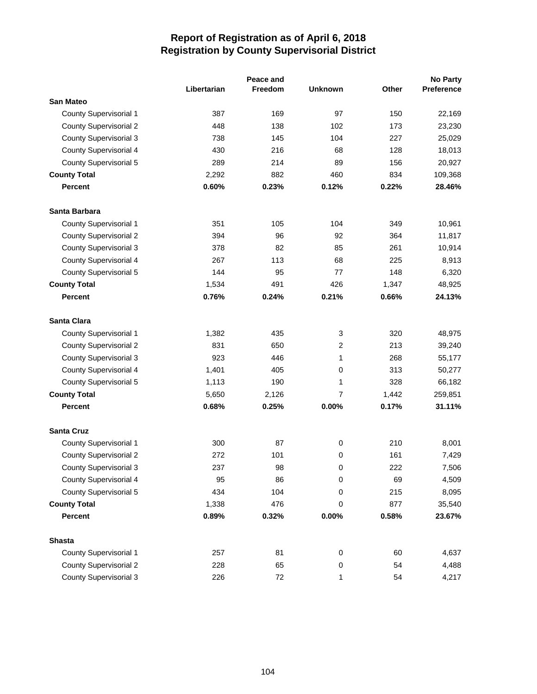|                               | Peace and   |         |                |       | <b>No Party</b> |
|-------------------------------|-------------|---------|----------------|-------|-----------------|
|                               | Libertarian | Freedom | <b>Unknown</b> | Other | Preference      |
| <b>San Mateo</b>              |             |         |                |       |                 |
| County Supervisorial 1        | 387         | 169     | 97             | 150   | 22,169          |
| <b>County Supervisorial 2</b> | 448         | 138     | 102            | 173   | 23,230          |
| <b>County Supervisorial 3</b> | 738         | 145     | 104            | 227   | 25,029          |
| <b>County Supervisorial 4</b> | 430         | 216     | 68             | 128   | 18,013          |
| <b>County Supervisorial 5</b> | 289         | 214     | 89             | 156   | 20,927          |
| <b>County Total</b>           | 2,292       | 882     | 460            | 834   | 109,368         |
| <b>Percent</b>                | 0.60%       | 0.23%   | 0.12%          | 0.22% | 28.46%          |
| Santa Barbara                 |             |         |                |       |                 |
| County Supervisorial 1        | 351         | 105     | 104            | 349   | 10,961          |
| <b>County Supervisorial 2</b> | 394         | 96      | 92             | 364   | 11,817          |
| <b>County Supervisorial 3</b> | 378         | 82      | 85             | 261   | 10,914          |
| <b>County Supervisorial 4</b> | 267         | 113     | 68             | 225   | 8,913           |
| <b>County Supervisorial 5</b> | 144         | 95      | 77             | 148   | 6,320           |
| <b>County Total</b>           | 1,534       | 491     | 426            | 1,347 | 48,925          |
| <b>Percent</b>                | 0.76%       | 0.24%   | 0.21%          | 0.66% | 24.13%          |
| Santa Clara                   |             |         |                |       |                 |
| County Supervisorial 1        | 1,382       | 435     | 3              | 320   | 48,975          |
| <b>County Supervisorial 2</b> | 831         | 650     | $\overline{c}$ | 213   | 39,240          |
| <b>County Supervisorial 3</b> | 923         | 446     | 1              | 268   | 55,177          |
| <b>County Supervisorial 4</b> | 1,401       | 405     | 0              | 313   | 50,277          |
| <b>County Supervisorial 5</b> | 1,113       | 190     | 1              | 328   | 66,182          |
| <b>County Total</b>           | 5,650       | 2,126   | $\overline{7}$ | 1,442 | 259,851         |
| <b>Percent</b>                | 0.68%       | 0.25%   | 0.00%          | 0.17% | 31.11%          |
| <b>Santa Cruz</b>             |             |         |                |       |                 |
| <b>County Supervisorial 1</b> | 300         | 87      | 0              | 210   | 8,001           |
| <b>County Supervisorial 2</b> | 272         | 101     | 0              | 161   | 7,429           |
| <b>County Supervisorial 3</b> | 237         | 98      | 0              | 222   | 7,506           |
| County Supervisorial 4        | 95          | 86      | 0              | 69    | 4,509           |
| <b>County Supervisorial 5</b> | 434         | 104     | 0              | 215   | 8,095           |
| <b>County Total</b>           | 1,338       | 476     | 0              | 877   | 35,540          |
| <b>Percent</b>                | 0.89%       | 0.32%   | 0.00%          | 0.58% | 23.67%          |
| <b>Shasta</b>                 |             |         |                |       |                 |
| <b>County Supervisorial 1</b> | 257         | 81      | 0              | 60    | 4,637           |
| <b>County Supervisorial 2</b> | 228         | 65      | 0              | 54    | 4,488           |
| <b>County Supervisorial 3</b> | 226         | 72      | 1              | 54    | 4,217           |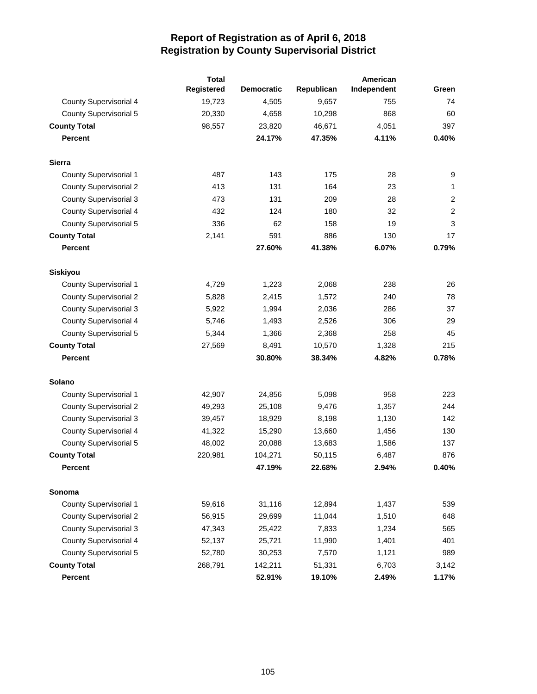|                               | <b>Total</b> |                   |            | American    |                |
|-------------------------------|--------------|-------------------|------------|-------------|----------------|
|                               | Registered   | <b>Democratic</b> | Republican | Independent | Green          |
| County Supervisorial 4        | 19,723       | 4,505             | 9,657      | 755         | 74             |
| <b>County Supervisorial 5</b> | 20,330       | 4,658             | 10,298     | 868         | 60             |
| <b>County Total</b>           | 98,557       | 23,820            | 46,671     | 4,051       | 397            |
| <b>Percent</b>                |              | 24.17%            | 47.35%     | 4.11%       | 0.40%          |
| Sierra                        |              |                   |            |             |                |
| County Supervisorial 1        | 487          | 143               | 175        | 28          | 9              |
| <b>County Supervisorial 2</b> | 413          | 131               | 164        | 23          | $\mathbf{1}$   |
| <b>County Supervisorial 3</b> | 473          | 131               | 209        | 28          | $\overline{2}$ |
| County Supervisorial 4        | 432          | 124               | 180        | 32          | $\sqrt{2}$     |
| <b>County Supervisorial 5</b> | 336          | 62                | 158        | 19          | $\mathfrak{3}$ |
| <b>County Total</b>           | 2,141        | 591               | 886        | 130         | 17             |
| <b>Percent</b>                |              | 27.60%            | 41.38%     | 6.07%       | 0.79%          |
| Siskiyou                      |              |                   |            |             |                |
| <b>County Supervisorial 1</b> | 4,729        | 1,223             | 2,068      | 238         | 26             |
| <b>County Supervisorial 2</b> | 5,828        | 2,415             | 1,572      | 240         | 78             |
| <b>County Supervisorial 3</b> | 5,922        | 1,994             | 2,036      | 286         | 37             |
| County Supervisorial 4        | 5,746        | 1,493             | 2,526      | 306         | 29             |
| <b>County Supervisorial 5</b> | 5,344        | 1,366             | 2,368      | 258         | 45             |
| <b>County Total</b>           | 27,569       | 8,491             | 10,570     | 1,328       | 215            |
| <b>Percent</b>                |              | 30.80%            | 38.34%     | 4.82%       | 0.78%          |
| <b>Solano</b>                 |              |                   |            |             |                |
| <b>County Supervisorial 1</b> | 42,907       | 24,856            | 5,098      | 958         | 223            |
| <b>County Supervisorial 2</b> | 49,293       | 25,108            | 9,476      | 1,357       | 244            |
| <b>County Supervisorial 3</b> | 39,457       | 18,929            | 8,198      | 1,130       | 142            |
| <b>County Supervisorial 4</b> | 41,322       | 15,290            | 13,660     | 1,456       | 130            |
| <b>County Supervisorial 5</b> | 48,002       | 20,088            | 13,683     | 1,586       | 137            |
| <b>County Total</b>           | 220,981      | 104,271           | 50,115     | 6,487       | 876            |
| Percent                       |              | 47.19%            | 22.68%     | 2.94%       | 0.40%          |
| Sonoma                        |              |                   |            |             |                |
| <b>County Supervisorial 1</b> | 59,616       | 31,116            | 12,894     | 1,437       | 539            |
| <b>County Supervisorial 2</b> | 56,915       | 29,699            | 11,044     | 1,510       | 648            |
| <b>County Supervisorial 3</b> | 47,343       | 25,422            | 7,833      | 1,234       | 565            |
| <b>County Supervisorial 4</b> | 52,137       | 25,721            | 11,990     | 1,401       | 401            |
| <b>County Supervisorial 5</b> | 52,780       | 30,253            | 7,570      | 1,121       | 989            |
| <b>County Total</b>           | 268,791      | 142,211           | 51,331     | 6,703       | 3,142          |
| Percent                       |              | 52.91%            | 19.10%     | 2.49%       | 1.17%          |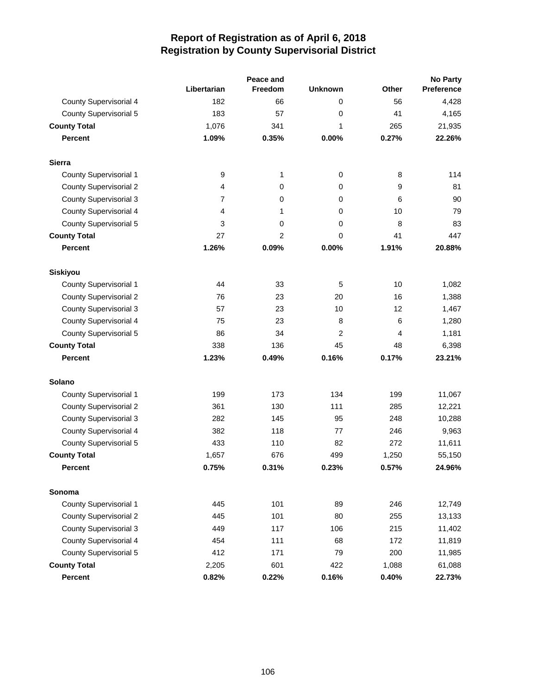|                               |                  | Peace and      |                | <b>No Party</b> |            |
|-------------------------------|------------------|----------------|----------------|-----------------|------------|
|                               | Libertarian      | <b>Freedom</b> | <b>Unknown</b> | <b>Other</b>    | Preference |
| <b>County Supervisorial 4</b> | 182              | 66             | 0              | 56              | 4,428      |
| <b>County Supervisorial 5</b> | 183              | 57             | 0              | 41              | 4,165      |
| <b>County Total</b>           | 1,076            | 341            | 1              | 265             | 21,935     |
| <b>Percent</b>                | 1.09%            | 0.35%          | 0.00%          | 0.27%           | 22.26%     |
| <b>Sierra</b>                 |                  |                |                |                 |            |
| <b>County Supervisorial 1</b> | $\boldsymbol{9}$ | 1              | $\mathbf 0$    | 8               | 114        |
| <b>County Supervisorial 2</b> | 4                | 0              | 0              | 9               | 81         |
| <b>County Supervisorial 3</b> | 7                | 0              | 0              | 6               | 90         |
| <b>County Supervisorial 4</b> | 4                | 1              | 0              | 10              | 79         |
| <b>County Supervisorial 5</b> | 3                | 0              | 0              | 8               | 83         |
| <b>County Total</b>           | 27               | $\overline{2}$ | 0              | 41              | 447        |
| <b>Percent</b>                | 1.26%            | 0.09%          | 0.00%          | 1.91%           | 20.88%     |
| Siskiyou                      |                  |                |                |                 |            |
| <b>County Supervisorial 1</b> | 44               | 33             | 5              | 10              | 1,082      |
| <b>County Supervisorial 2</b> | 76               | 23             | 20             | 16              | 1,388      |
| <b>County Supervisorial 3</b> | 57               | 23             | 10             | 12              | 1,467      |
| <b>County Supervisorial 4</b> | 75               | 23             | 8              | 6               | 1,280      |
| <b>County Supervisorial 5</b> | 86               | 34             | 2              | 4               | 1,181      |
| <b>County Total</b>           | 338              | 136            | 45             | 48              | 6,398      |
| <b>Percent</b>                | 1.23%            | 0.49%          | 0.16%          | 0.17%           | 23.21%     |
| Solano                        |                  |                |                |                 |            |
| <b>County Supervisorial 1</b> | 199              | 173            | 134            | 199             | 11,067     |
| <b>County Supervisorial 2</b> | 361              | 130            | 111            | 285             | 12,221     |
| <b>County Supervisorial 3</b> | 282              | 145            | 95             | 248             | 10,288     |
| <b>County Supervisorial 4</b> | 382              | 118            | 77             | 246             | 9,963      |
| <b>County Supervisorial 5</b> | 433              | 110            | 82             | 272             | 11,611     |
| <b>County Total</b>           | 1,657            | 676            | 499            | 1,250           | 55,150     |
| Percent                       | 0.75%            | 0.31%          | 0.23%          | 0.57%           | 24.96%     |
| Sonoma                        |                  |                |                |                 |            |
| <b>County Supervisorial 1</b> | 445              | 101            | 89             | 246             | 12,749     |
| <b>County Supervisorial 2</b> | 445              | 101            | 80             | 255             | 13,133     |
| <b>County Supervisorial 3</b> | 449              | 117            | 106            | 215             | 11,402     |
| <b>County Supervisorial 4</b> | 454              | 111            | 68             | 172             | 11,819     |
| <b>County Supervisorial 5</b> | 412              | 171            | 79             | 200             | 11,985     |
| <b>County Total</b>           | 2,205            | 601            | 422            | 1,088           | 61,088     |
| Percent                       | 0.82%            | 0.22%          | 0.16%          | 0.40%           | 22.73%     |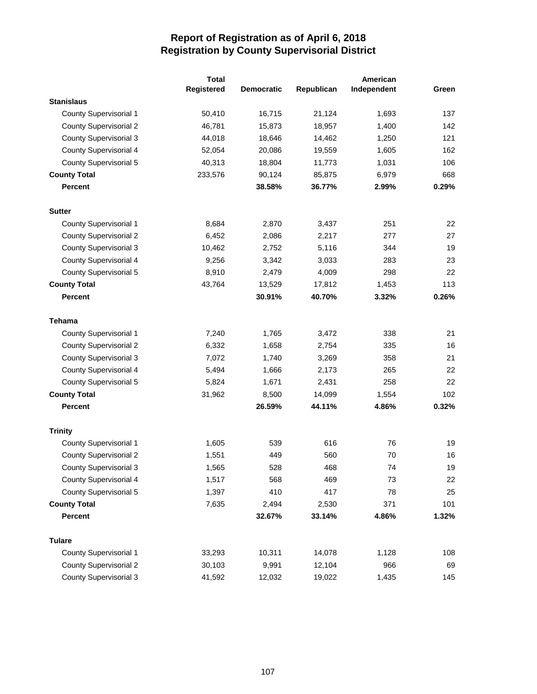|                               | <b>Total</b> | American          |            |             |       |
|-------------------------------|--------------|-------------------|------------|-------------|-------|
|                               | Registered   | <b>Democratic</b> | Republican | Independent | Green |
| <b>Stanislaus</b>             |              |                   |            |             |       |
| County Supervisorial 1        | 50,410       | 16,715            | 21,124     | 1,693       | 137   |
| <b>County Supervisorial 2</b> | 46,781       | 15,873            | 18,957     | 1,400       | 142   |
| <b>County Supervisorial 3</b> | 44,018       | 18,646            | 14,462     | 1,250       | 121   |
| <b>County Supervisorial 4</b> | 52,054       | 20,086            | 19,559     | 1,605       | 162   |
| <b>County Supervisorial 5</b> | 40,313       | 18,804            | 11,773     | 1,031       | 106   |
| <b>County Total</b>           | 233,576      | 90,124            | 85,875     | 6,979       | 668   |
| <b>Percent</b>                |              | 38.58%            | 36.77%     | 2.99%       | 0.29% |
| <b>Sutter</b>                 |              |                   |            |             |       |
| County Supervisorial 1        | 8,684        | 2,870             | 3,437      | 251         | 22    |
| <b>County Supervisorial 2</b> | 6,452        | 2,086             | 2,217      | 277         | 27    |
| <b>County Supervisorial 3</b> | 10,462       | 2,752             | 5,116      | 344         | 19    |
| <b>County Supervisorial 4</b> | 9,256        | 3,342             | 3,033      | 283         | 23    |
| <b>County Supervisorial 5</b> | 8,910        | 2,479             | 4,009      | 298         | 22    |
| <b>County Total</b>           | 43,764       | 13,529            | 17,812     | 1,453       | 113   |
| <b>Percent</b>                |              | 30.91%            | 40.70%     | 3.32%       | 0.26% |
| <b>Tehama</b>                 |              |                   |            |             |       |
| <b>County Supervisorial 1</b> | 7,240        | 1,765             | 3,472      | 338         | 21    |
| <b>County Supervisorial 2</b> | 6,332        | 1,658             | 2,754      | 335         | 16    |
| <b>County Supervisorial 3</b> | 7,072        | 1,740             | 3,269      | 358         | 21    |
| <b>County Supervisorial 4</b> | 5,494        | 1,666             | 2,173      | 265         | 22    |
| <b>County Supervisorial 5</b> | 5,824        | 1,671             | 2,431      | 258         | 22    |
| <b>County Total</b>           | 31,962       | 8,500             | 14,099     | 1,554       | 102   |
| <b>Percent</b>                |              | 26.59%            | 44.11%     | 4.86%       | 0.32% |
| <b>Trinity</b>                |              |                   |            |             |       |
| <b>County Supervisorial 1</b> | 1,605        | 539               | 616        | 76          | 19    |
| <b>County Supervisorial 2</b> | 1,551        | 449               | 560        | 70          | 16    |
| County Supervisorial 3        | 1,565        | 528               | 468        | 74          | 19    |
| County Supervisorial 4        | 1,517        | 568               | 469        | 73          | 22    |
| <b>County Supervisorial 5</b> | 1,397        | 410               | 417        | 78          | 25    |
| <b>County Total</b>           | 7,635        | 2,494             | 2,530      | 371         | 101   |
| <b>Percent</b>                |              | 32.67%            | 33.14%     | 4.86%       | 1.32% |
| <b>Tulare</b>                 |              |                   |            |             |       |
| County Supervisorial 1        | 33,293       | 10,311            | 14,078     | 1,128       | 108   |
| <b>County Supervisorial 2</b> | 30,103       | 9,991             | 12,104     | 966         | 69    |
| <b>County Supervisorial 3</b> | 41,592       | 12,032            | 19,022     | 1,435       | 145   |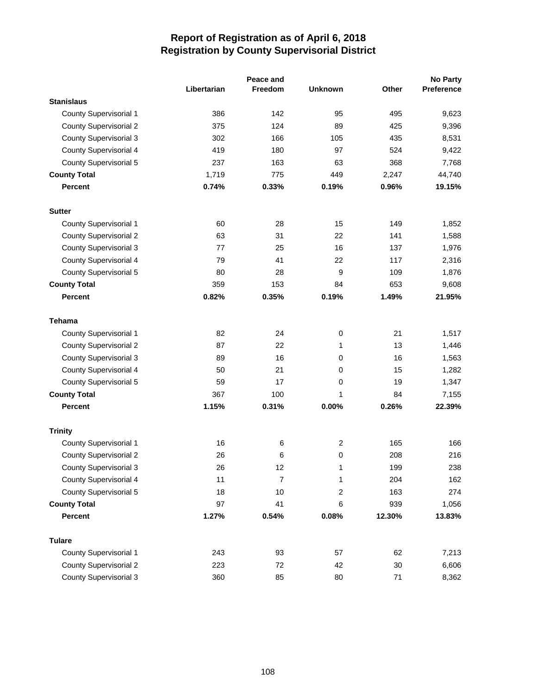|                               | Peace and   |         |                |              | <b>No Party</b> |
|-------------------------------|-------------|---------|----------------|--------------|-----------------|
|                               | Libertarian | Freedom | <b>Unknown</b> | <b>Other</b> | Preference      |
| <b>Stanislaus</b>             |             |         |                |              |                 |
| County Supervisorial 1        | 386         | 142     | 95             | 495          | 9,623           |
| <b>County Supervisorial 2</b> | 375         | 124     | 89             | 425          | 9,396           |
| <b>County Supervisorial 3</b> | 302         | 166     | 105            | 435          | 8,531           |
| <b>County Supervisorial 4</b> | 419         | 180     | 97             | 524          | 9,422           |
| <b>County Supervisorial 5</b> | 237         | 163     | 63             | 368          | 7,768           |
| <b>County Total</b>           | 1,719       | 775     | 449            | 2,247        | 44,740          |
| <b>Percent</b>                | 0.74%       | 0.33%   | 0.19%          | 0.96%        | 19.15%          |
| <b>Sutter</b>                 |             |         |                |              |                 |
| County Supervisorial 1        | 60          | 28      | 15             | 149          | 1,852           |
| <b>County Supervisorial 2</b> | 63          | 31      | 22             | 141          | 1,588           |
| <b>County Supervisorial 3</b> | 77          | 25      | 16             | 137          | 1,976           |
| County Supervisorial 4        | 79          | 41      | 22             | 117          | 2,316           |
| <b>County Supervisorial 5</b> | 80          | 28      | 9              | 109          | 1,876           |
| <b>County Total</b>           | 359         | 153     | 84             | 653          | 9,608           |
| <b>Percent</b>                | 0.82%       | 0.35%   | 0.19%          | 1.49%        | 21.95%          |
| <b>Tehama</b>                 |             |         |                |              |                 |
| County Supervisorial 1        | 82          | 24      | 0              | 21           | 1,517           |
| <b>County Supervisorial 2</b> | 87          | 22      | 1              | 13           | 1,446           |
| <b>County Supervisorial 3</b> | 89          | 16      | 0              | 16           | 1,563           |
| <b>County Supervisorial 4</b> | 50          | 21      | 0              | 15           | 1,282           |
| <b>County Supervisorial 5</b> | 59          | 17      | 0              | 19           | 1,347           |
| <b>County Total</b>           | 367         | 100     | 1              | 84           | 7,155           |
| <b>Percent</b>                | 1.15%       | 0.31%   | 0.00%          | 0.26%        | 22.39%          |
| <b>Trinity</b>                |             |         |                |              |                 |
| County Supervisorial 1        | 16          | 6       | $\overline{c}$ | 165          | 166             |
| <b>County Supervisorial 2</b> | 26          | 6       | 0              | 208          | 216             |
| <b>County Supervisorial 3</b> | 26          | 12      | 1              | 199          | 238             |
| County Supervisorial 4        | 11          | 7       | 1              | 204          | 162             |
| <b>County Supervisorial 5</b> | 18          | 10      | 2              | 163          | 274             |
| <b>County Total</b>           | 97          | 41      | 6              | 939          | 1,056           |
| <b>Percent</b>                | 1.27%       | 0.54%   | 0.08%          | 12.30%       | 13.83%          |
| <b>Tulare</b>                 |             |         |                |              |                 |
| <b>County Supervisorial 1</b> | 243         | 93      | 57             | 62           | 7,213           |
| <b>County Supervisorial 2</b> | 223         | 72      | 42             | 30           | 6,606           |
| <b>County Supervisorial 3</b> | 360         | 85      | 80             | $71$         | 8,362           |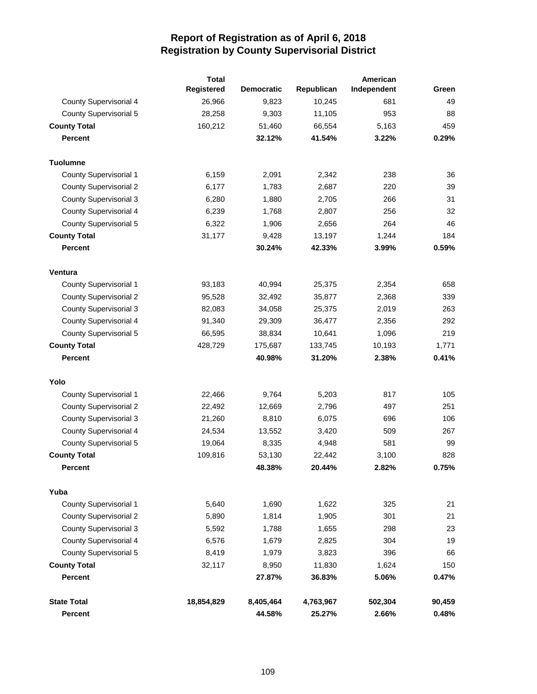|                               | <b>Total</b> | American          |            |             |        |  |
|-------------------------------|--------------|-------------------|------------|-------------|--------|--|
|                               | Registered   | <b>Democratic</b> | Republican | Independent | Green  |  |
| <b>County Supervisorial 4</b> | 26,966       | 9,823             | 10,245     | 681         | 49     |  |
| <b>County Supervisorial 5</b> | 28,258       | 9,303             | 11,105     | 953         | 88     |  |
| <b>County Total</b>           | 160,212      | 51,460            | 66,554     | 5,163       | 459    |  |
| <b>Percent</b>                |              | 32.12%            | 41.54%     | 3.22%       | 0.29%  |  |
| <b>Tuolumne</b>               |              |                   |            |             |        |  |
| County Supervisorial 1        | 6,159        | 2,091             | 2,342      | 238         | 36     |  |
| <b>County Supervisorial 2</b> | 6,177        | 1,783             | 2,687      | 220         | 39     |  |
| <b>County Supervisorial 3</b> | 6,280        | 1,880             | 2,705      | 266         | 31     |  |
| County Supervisorial 4        | 6,239        | 1,768             | 2,807      | 256         | 32     |  |
| <b>County Supervisorial 5</b> | 6,322        | 1,906             | 2,656      | 264         | 46     |  |
| <b>County Total</b>           | 31,177       | 9,428             | 13,197     | 1,244       | 184    |  |
| <b>Percent</b>                |              | 30.24%            | 42.33%     | 3.99%       | 0.59%  |  |
| <b>Ventura</b>                |              |                   |            |             |        |  |
| <b>County Supervisorial 1</b> | 93,183       | 40,994            | 25,375     | 2,354       | 658    |  |
| <b>County Supervisorial 2</b> | 95,528       | 32,492            | 35,877     | 2,368       | 339    |  |
| <b>County Supervisorial 3</b> | 82,083       | 34,058            | 25,375     | 2,019       | 263    |  |
| County Supervisorial 4        | 91,340       | 29,309            | 36,477     | 2,356       | 292    |  |
| <b>County Supervisorial 5</b> | 66,595       | 38,834            | 10,641     | 1,096       | 219    |  |
| <b>County Total</b>           | 428,729      | 175,687           | 133,745    | 10,193      | 1,771  |  |
| <b>Percent</b>                |              | 40.98%            | 31.20%     | 2.38%       | 0.41%  |  |
| Yolo                          |              |                   |            |             |        |  |
| <b>County Supervisorial 1</b> | 22,466       | 9,764             | 5,203      | 817         | 105    |  |
| <b>County Supervisorial 2</b> | 22,492       | 12,669            | 2,796      | 497         | 251    |  |
| <b>County Supervisorial 3</b> | 21,260       | 8,810             | 6,075      | 696         | 106    |  |
| <b>County Supervisorial 4</b> | 24,534       | 13,552            | 3,420      | 509         | 267    |  |
| <b>County Supervisorial 5</b> | 19,064       | 8,335             | 4,948      | 581         | 99     |  |
| <b>County Total</b>           | 109,816      | 53,130            | 22,442     | 3,100       | 828    |  |
| Percent                       |              | 48.38%            | 20.44%     | 2.82%       | 0.75%  |  |
| Yuba                          |              |                   |            |             |        |  |
| <b>County Supervisorial 1</b> | 5,640        | 1,690             | 1,622      | 325         | 21     |  |
| <b>County Supervisorial 2</b> | 5,890        | 1,814             | 1,905      | 301         | 21     |  |
| <b>County Supervisorial 3</b> | 5,592        | 1,788             | 1,655      | 298         | 23     |  |
| <b>County Supervisorial 4</b> | 6,576        | 1,679             | 2,825      | 304         | 19     |  |
| County Supervisorial 5        | 8,419        | 1,979             | 3,823      | 396         | 66     |  |
| <b>County Total</b>           | 32,117       | 8,950             | 11,830     | 1,624       | 150    |  |
| <b>Percent</b>                |              | 27.87%            | 36.83%     | 5.06%       | 0.47%  |  |
| <b>State Total</b>            | 18,854,829   | 8,405,464         | 4,763,967  | 502,304     | 90,459 |  |
| Percent                       |              | 44.58%            | 25.27%     | 2.66%       | 0.48%  |  |